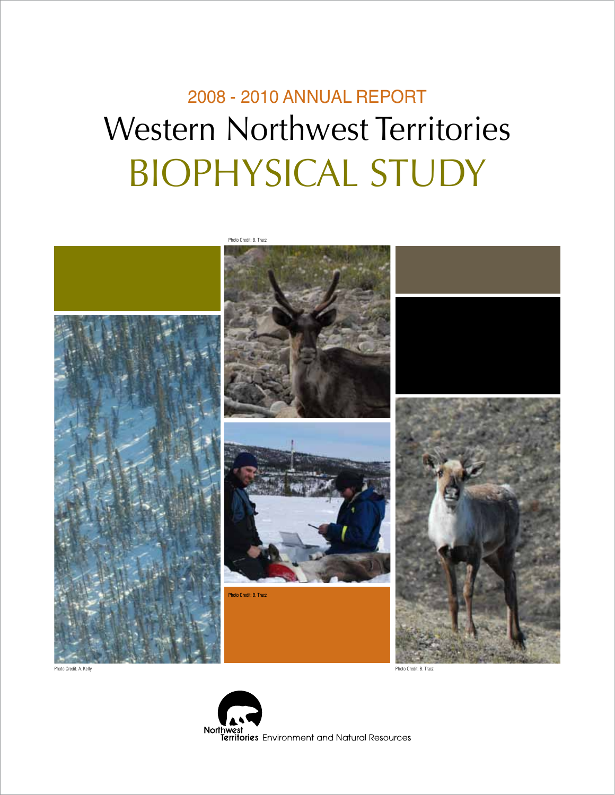## 2008 - 2010 ANNUAL REPORT Western Northwest Territories BIOPHYSICAL STUDY



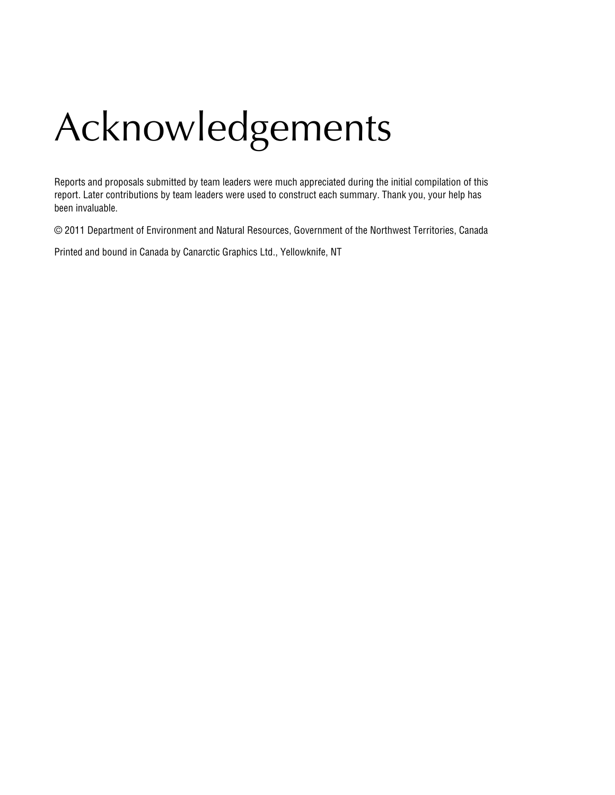# Acknowledgements

Reports and proposals submitted by team leaders were much appreciated during the initial compilation of this report. Later contributions by team leaders were used to construct each summary. Thank you, your help has been invaluable.

© 2011 Department of Environment and Natural Resources, Government of the Northwest Territories, Canada

Printed and bound in Canada by Canarctic Graphics Ltd., Yellowknife, NT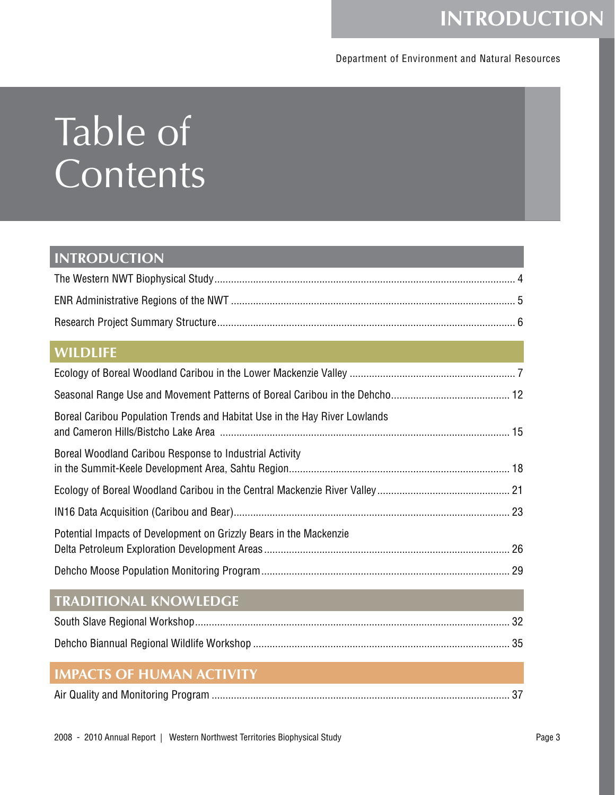## **INTRODUCTION**

### Department of Environment and Natural Resources

# Table of **Contents**

### **INTRODUCTION**

### **WILDLIFE**

| Boreal Caribou Population Trends and Habitat Use in the Hay River Lowlands                                                                           |  |
|------------------------------------------------------------------------------------------------------------------------------------------------------|--|
| Boreal Woodland Caribou Response to Industrial Activity                                                                                              |  |
|                                                                                                                                                      |  |
|                                                                                                                                                      |  |
| Potential Impacts of Development on Grizzly Bears in the Mackenzie                                                                                   |  |
|                                                                                                                                                      |  |
| <b>TRADITIONAL KNOWLEDGE</b><br><b>STATE OF A STATE OF A STATE OF A STATE OF A STATE OF A STATE OF A STATE OF A STATE OF A STATE OF A STATE OF A</b> |  |
|                                                                                                                                                      |  |
|                                                                                                                                                      |  |
|                                                                                                                                                      |  |

### **IMPACTS OF HUMAN ACTIVITY**

|--|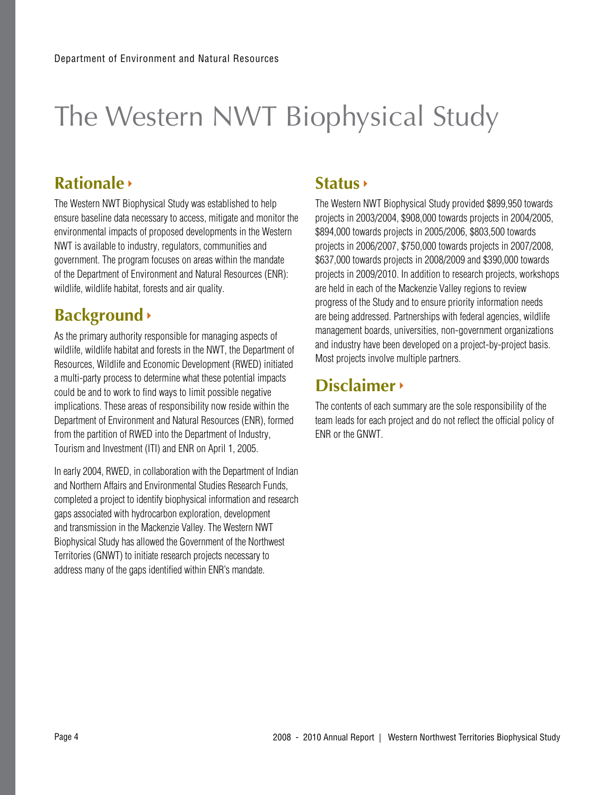## The Western NWT Biophysical Study

### **Rationale**

The Western NWT Biophysical Study was established to help ensure baseline data necessary to access, mitigate and monitor the environmental impacts of proposed developments in the Western NWT is available to industry, regulators, communities and government. The program focuses on areas within the mandate of the Department of Environment and Natural Resources (ENR): wildlife, wildlife habitat, forests and air quality.

### **Background**

As the primary authority responsible for managing aspects of wildlife, wildlife habitat and forests in the NWT, the Department of Resources, Wildlife and Economic Development (RWED) initiated a multi-party process to determine what these potential impacts could be and to work to find ways to limit possible negative implications. These areas of responsibility now reside within the Department of Environment and Natural Resources (ENR), formed from the partition of RWED into the Department of Industry, Tourism and Investment (ITI) and ENR on April 1, 2005.

In early 2004, RWED, in collaboration with the Department of Indian and Northern Affairs and Environmental Studies Research Funds, completed a project to identify biophysical information and research gaps associated with hydrocarbon exploration, development and transmission in the Mackenzie Valley. The Western NWT Biophysical Study has allowed the Government of the Northwest Territories (GNWT) to initiate research projects necessary to address many of the gaps identified within ENR's mandate.

### **Status**

The Western NWT Biophysical Study provided \$899,950 towards projects in 2003/2004, \$908,000 towards projects in 2004/2005, \$894,000 towards projects in 2005/2006, \$803,500 towards projects in 2006/2007, \$750,000 towards projects in 2007/2008, \$637,000 towards projects in 2008/2009 and \$390,000 towards projects in 2009/2010. In addition to research projects, workshops are held in each of the Mackenzie Valley regions to review progress of the Study and to ensure priority information needs are being addressed. Partnerships with federal agencies, wildlife management boards, universities, non-government organizations and industry have been developed on a project-by-project basis. Most projects involve multiple partners.

### **Disclaimer**

The contents of each summary are the sole responsibility of the team leads for each project and do not reflect the official policy of ENR or the GNWT.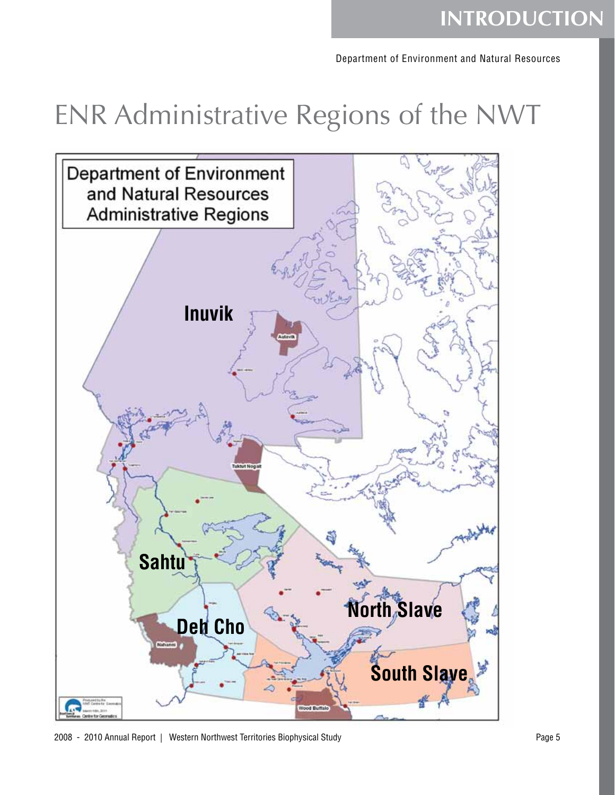## **INTRODUCTION**

Department of Environment and Natural Resources

## ENR Administrative Regions of the NWT



2008 - 2010 Annual Report | Western Northwest Territories Biophysical Study Page 5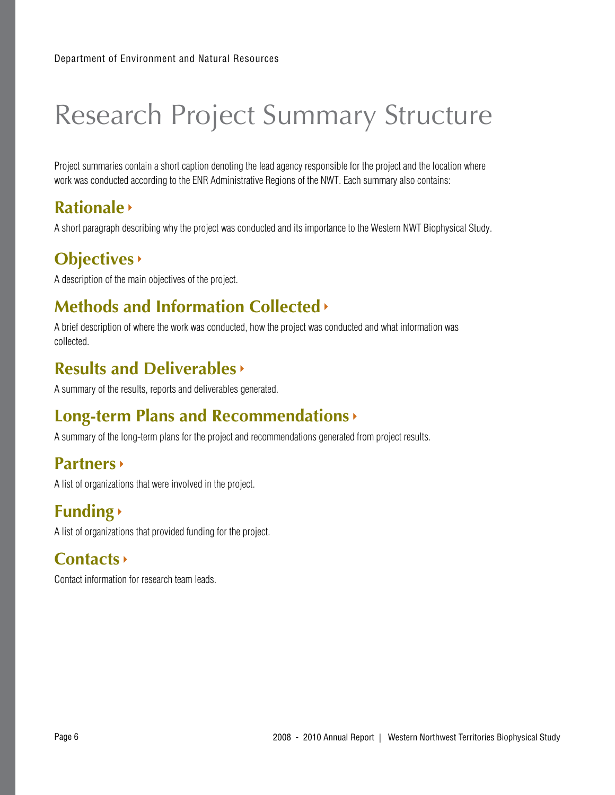## Research Project Summary Structure

Project summaries contain a short caption denoting the lead agency responsible for the project and the location where work was conducted according to the ENR Administrative Regions of the NWT. Each summary also contains:

### **Rationale**

A short paragraph describing why the project was conducted and its importance to the Western NWT Biophysical Study.

### **Objectives**

A description of the main objectives of the project.

## **Methods and Information Collected**

A brief description of where the work was conducted, how the project was conducted and what information was collected.

### **Results and Deliverables**

A summary of the results, reports and deliverables generated.

### **Long-term Plans and Recommendations**

A summary of the long-term plans for the project and recommendations generated from project results.

### **Partners**

A list of organizations that were involved in the project.

## **Funding**

A list of organizations that provided funding for the project.

### **Contacts**

Contact information for research team leads.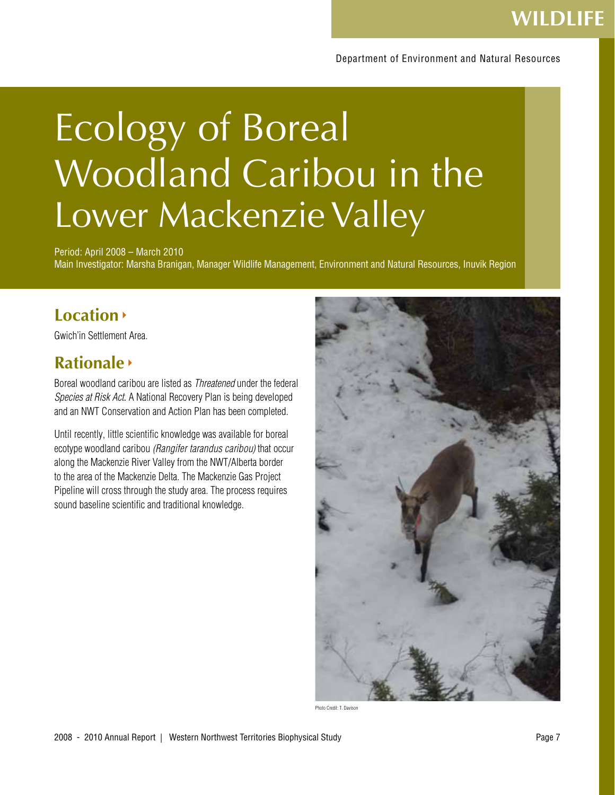#### Department of Environment and Natural Resources

# Ecology of Boreal Woodland Caribou in the Lower Mackenzie Valley

Period: April 2008 – March 2010 Main Investigator: Marsha Branigan, Manager Wildlife Management, Environment and Natural Resources, Inuvik Region

### **Location**

Gwich'in Settlement Area.

### **Rationale**

Boreal woodland caribou are listed as Threatened under the federal Species at Risk Act. A National Recovery Plan is being developed and an NWT Conservation and Action Plan has been completed.

Until recently, little scientific knowledge was available for boreal ecotype woodland caribou (Rangifer tarandus caribou) that occur along the Mackenzie River Valley from the NWT/Alberta border to the area of the Mackenzie Delta. The Mackenzie Gas Project Pipeline will cross through the study area. The process requires sound baseline scientific and traditional knowledge.



Photo Credit: T. Davison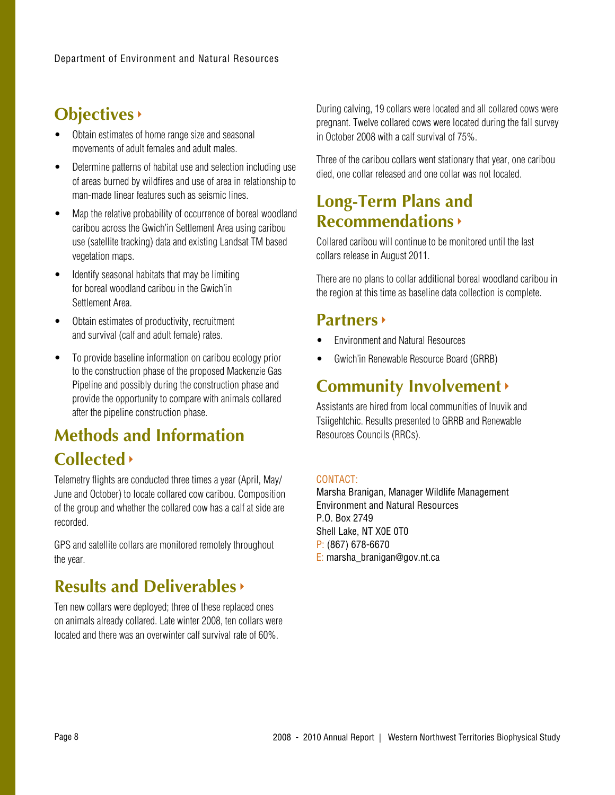### **Objectives**

- Obtain estimates of home range size and seasonal movements of adult females and adult males.
- Determine patterns of habitat use and selection including use of areas burned by wildfires and use of area in relationship to man-made linear features such as seismic lines.
- Map the relative probability of occurrence of boreal woodland caribou across the Gwich'in Settlement Area using caribou use (satellite tracking) data and existing Landsat TM based vegetation maps.
- Identify seasonal habitats that may be limiting for boreal woodland caribou in the Gwich'in Settlement Area.
- Obtain estimates of productivity, recruitment and survival (calf and adult female) rates.
- To provide baseline information on caribou ecology prior to the construction phase of the proposed Mackenzie Gas Pipeline and possibly during the construction phase and provide the opportunity to compare with animals collared after the pipeline construction phase.

## **Methods and Information Collected**

Telemetry flights are conducted three times a year (April, May/ June and October) to locate collared cow caribou. Composition of the group and whether the collared cow has a calf at side are recorded.

GPS and satellite collars are monitored remotely throughout the year.

### **Results and Deliverables**

Ten new collars were deployed; three of these replaced ones on animals already collared. Late winter 2008, ten collars were located and there was an overwinter calf survival rate of 60%.

During calving, 19 collars were located and all collared cows were pregnant. Twelve collared cows were located during the fall survey in October 2008 with a calf survival of 75%.

Three of the caribou collars went stationary that year, one caribou died, one collar released and one collar was not located.

### **Long-Term Plans and Recommendations**

Collared caribou will continue to be monitored until the last collars release in August 2011.

There are no plans to collar additional boreal woodland caribou in the region at this time as baseline data collection is complete.

### **Partners**

- **Environment and Natural Resources**
- Gwich'in Renewable Resource Board (GRRB)

### **Community Involvement**

Assistants are hired from local communities of Inuvik and Tsiigehtchic. Results presented to GRRB and Renewable Resources Councils (RRCs).

### CONTACT:

Marsha Branigan, Manager Wildlife Management Environment and Natural Resources P.O. Box 2749 Shell Lake, NT X0E 0T0 P: (867) 678-6670 E: marsha\_branigan@gov.nt.ca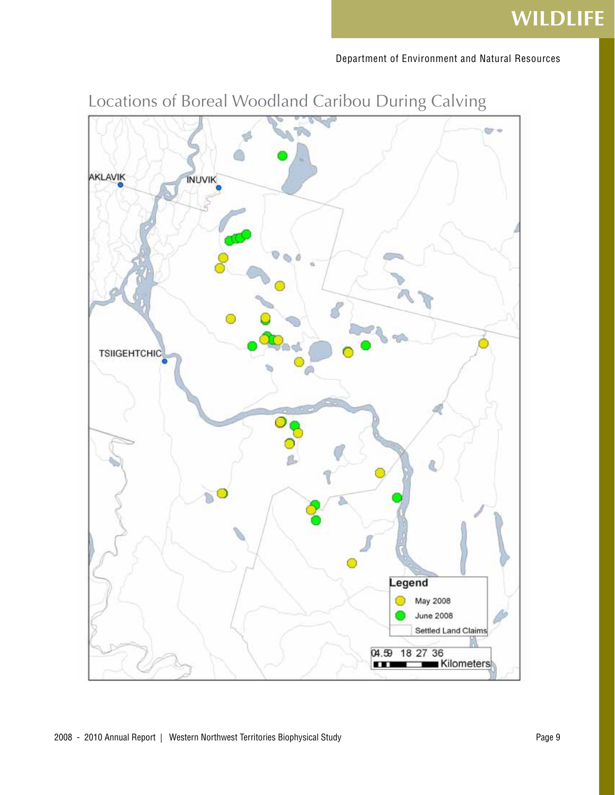## **WILDLIFE**

Department of Environment and Natural Resources



## Locations of Boreal Woodland Caribou During Calving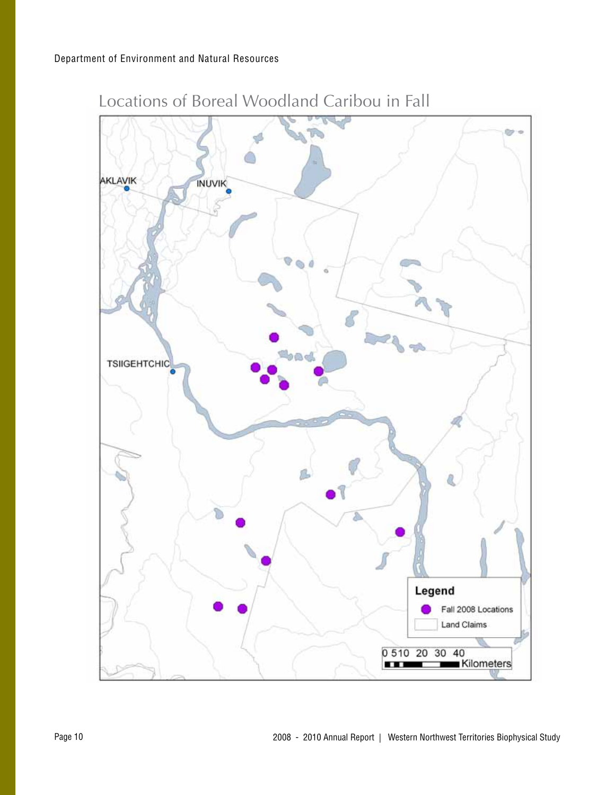

Locations of Boreal Woodland Caribou in Fall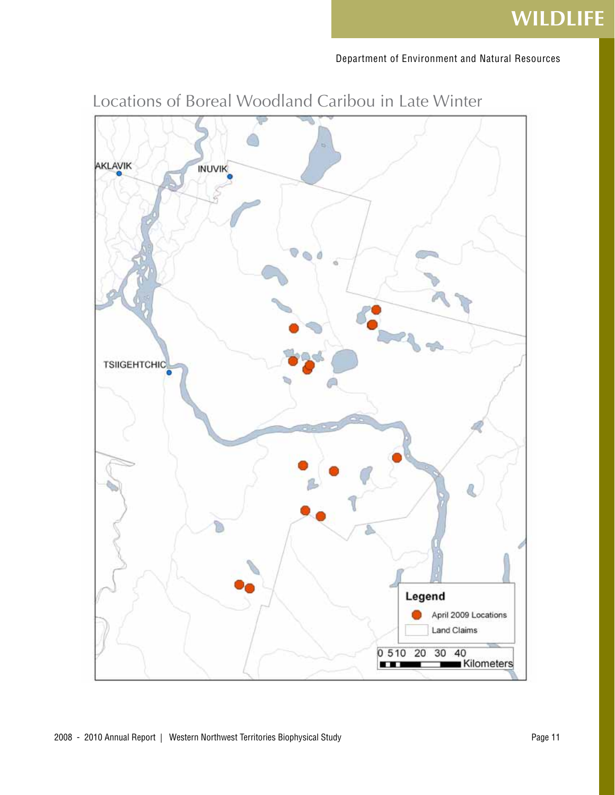

Locations of Boreal Woodland Caribou in Late Winter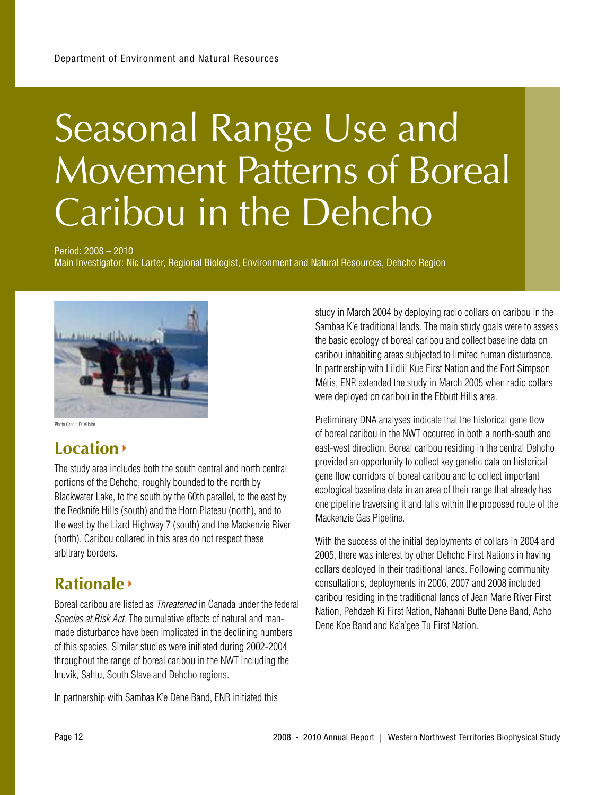## Seasonal Range Use and Movement Patterns of Boreal Caribou in the Dehcho

Period: 2008 – 2010

Main Investigator: Nic Larter, Regional Biologist, Environment and Natural Resources, Dehcho Region



Photo Credit: D. Allaire

### **Location**

The study area includes both the south central and north central portions of the Dehcho, roughly bounded to the north by Blackwater Lake, to the south by the 60th parallel, to the east by the Redknife Hills (south) and the Horn Plateau (north), and to the west by the Liard Highway 7 (south) and the Mackenzie River (north). Caribou collared in this area do not respect these arbitrary borders.

### **Rationale**

Boreal caribou are listed as Threatened in Canada under the federal Species at Risk Act. The cumulative effects of natural and manmade disturbance have been implicated in the declining numbers of this species. Similar studies were initiated during 2002-2004 throughout the range of boreal caribou in the NWT including the Inuvik, Sahtu, South Slave and Dehcho regions.

In partnership with Sambaa K'e Dene Band, ENR initiated this

study in March 2004 by deploying radio collars on caribou in the Sambaa K'e traditional lands. The main study goals were to assess the basic ecology of boreal caribou and collect baseline data on caribou inhabiting areas subjected to limited human disturbance. In partnership with Liidlii Kue First Nation and the Fort Simpson Métis, ENR extended the study in March 2005 when radio collars were deployed on caribou in the Ebbutt Hills area.

Preliminary DNA analyses indicate that the historical gene flow of boreal caribou in the NWT occurred in both a north-south and east-west direction. Boreal caribou residing in the central Dehcho provided an opportunity to collect key genetic data on historical gene flow corridors of boreal caribou and to collect important ecological baseline data in an area of their range that already has one pipeline traversing it and falls within the proposed route of the Mackenzie Gas Pipeline.

With the success of the initial deployments of collars in 2004 and 2005, there was interest by other Dehcho First Nations in having collars deployed in their traditional lands. Following community consultations, deployments in 2006, 2007 and 2008 included caribou residing in the traditional lands of Jean Marie River First Nation, Pehdzeh Ki First Nation, Nahanni Butte Dene Band, Acho Dene Koe Band and Ka'a'gee Tu First Nation.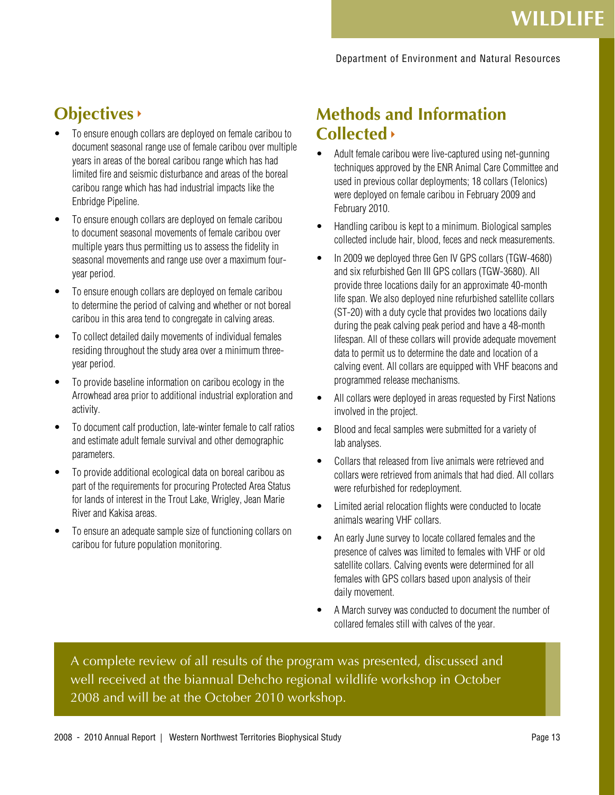## **Objectives**

- To ensure enough collars are deployed on female caribou to document seasonal range use of female caribou over multiple years in areas of the boreal caribou range which has had limited fire and seismic disturbance and areas of the boreal caribou range which has had industrial impacts like the Enbridge Pipeline.
- To ensure enough collars are deployed on female caribou to document seasonal movements of female caribou over multiple years thus permitting us to assess the fidelity in seasonal movements and range use over a maximum fouryear period.
- • To ensure enough collars are deployed on female caribou to determine the period of calving and whether or not boreal caribou in this area tend to congregate in calving areas.
- To collect detailed daily movements of individual females residing throughout the study area over a minimum threeyear period.
- To provide baseline information on caribou ecology in the Arrowhead area prior to additional industrial exploration and activity.
- To document calf production, late-winter female to calf ratios and estimate adult female survival and other demographic parameters.
- To provide additional ecological data on boreal caribou as part of the requirements for procuring Protected Area Status for lands of interest in the Trout Lake, Wrigley, Jean Marie River and Kakisa areas.
- To ensure an adequate sample size of functioning collars on caribou for future population monitoring.

### **Methods and Information Collected**

- Adult female caribou were live-captured using net-gunning techniques approved by the ENR Animal Care Committee and used in previous collar deployments; 18 collars (Telonics) were deployed on female caribou in February 2009 and February 2010.
- Handling caribou is kept to a minimum. Biological samples collected include hair, blood, feces and neck measurements.
- In 2009 we deployed three Gen IV GPS collars (TGW-4680) and six refurbished Gen III GPS collars (TGW-3680). All provide three locations daily for an approximate 40-month life span. We also deployed nine refurbished satellite collars (ST-20) with a duty cycle that provides two locations daily during the peak calving peak period and have a 48-month lifespan. All of these collars will provide adequate movement data to permit us to determine the date and location of a calving event. All collars are equipped with VHF beacons and programmed release mechanisms.
- All collars were deployed in areas requested by First Nations involved in the project.
- • Blood and fecal samples were submitted for a variety of lab analyses.
- Collars that released from live animals were retrieved and collars were retrieved from animals that had died. All collars were refurbished for redeployment.
- Limited aerial relocation flights were conducted to locate animals wearing VHF collars.
- An early June survey to locate collared females and the presence of calves was limited to females with VHF or old satellite collars. Calving events were determined for all females with GPS collars based upon analysis of their daily movement.
- A March survey was conducted to document the number of collared females still with calves of the year.

A complete review of all results of the program was presented, discussed and well received at the biannual Dehcho regional wildlife workshop in October 2008 and will be at the October 2010 workshop.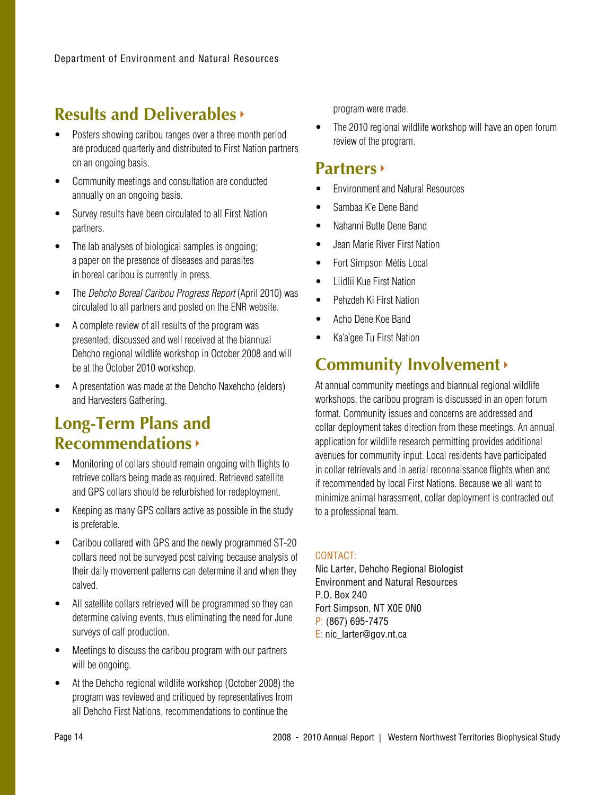### **Results and Deliverables**

- Posters showing caribou ranges over a three month period are produced quarterly and distributed to First Nation partners on an ongoing basis.
- Community meetings and consultation are conducted annually on an ongoing basis.
- Survey results have been circulated to all First Nation partners.
- The lab analyses of biological samples is ongoing; a paper on the presence of diseases and parasites in boreal caribou is currently in press.
- The Dehcho Boreal Caribou Progress Report (April 2010) was circulated to all partners and posted on the ENR website.
- • A complete review of all results of the program was presented, discussed and well received at the biannual Dehcho regional wildlife workshop in October 2008 and will be at the October 2010 workshop.
- A presentation was made at the Dehcho Naxehcho (elders) and Harvesters Gathering.

### **Long-Term Plans and Recommendations**

- Monitoring of collars should remain ongoing with flights to retrieve collars being made as required. Retrieved satellite and GPS collars should be refurbished for redeployment.
- Keeping as many GPS collars active as possible in the study is preferable.
- Caribou collared with GPS and the newly programmed ST-20 collars need not be surveyed post calving because analysis of their daily movement patterns can determine if and when they calved.
- All satellite collars retrieved will be programmed so they can determine calving events, thus eliminating the need for June surveys of calf production.
- Meetings to discuss the caribou program with our partners will be ongoing.
- At the Dehcho regional wildlife workshop (October 2008) the program was reviewed and critiqued by representatives from all Dehcho First Nations, recommendations to continue the

program were made.

• The 2010 regional wildlife workshop will have an open forum review of the program.

### **Partners**

- **Fnvironment and Natural Resources**
- Sambaa K'e Dene Band
- Nahanni Butte Dene Band
- Jean Marie River First Nation
- Fort Simpson Métis Local
- **Liidlii Kue First Nation**
- Pehzdeh Ki First Nation
- Acho Dene Koe Band
- • Ka'a'gee Tu First Nation

### **Community Involvement**

At annual community meetings and biannual regional wildlife workshops, the caribou program is discussed in an open forum format. Community issues and concerns are addressed and collar deployment takes direction from these meetings. An annual application for wildlife research permitting provides additional avenues for community input. Local residents have participated in collar retrievals and in aerial reconnaissance flights when and if recommended by local First Nations. Because we all want to minimize animal harassment, collar deployment is contracted out to a professional team.

### CONTACT:

Nic Larter, Dehcho Regional Biologist Environment and Natural Resources P.O. Box 240 Fort Simpson, NT X0E 0N0 P: (867) 695-7475 E: nic\_larter@gov.nt.ca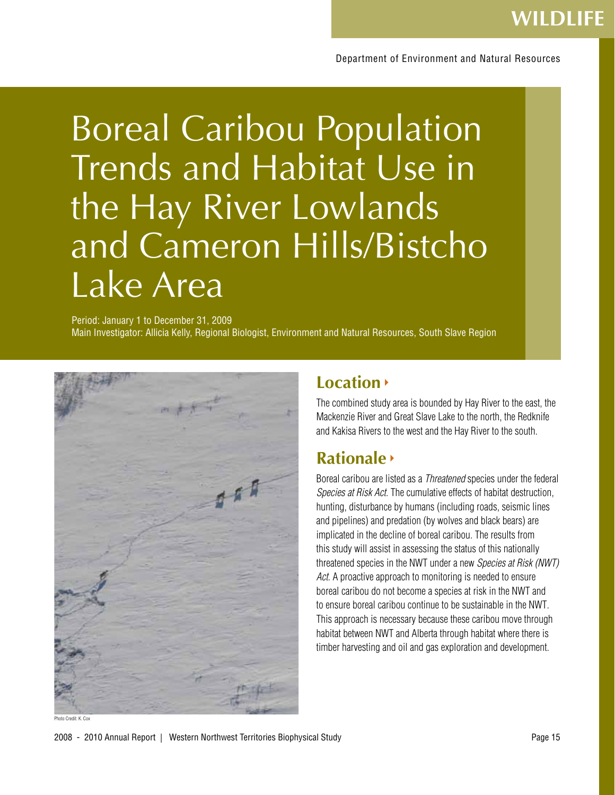## Boreal Caribou Population Trends and Habitat Use in the Hay River Lowlands and Cameron Hills/Bistcho Lake Area

Period: January 1 to December 31, 2009 Main Investigator: Allicia Kelly, Regional Biologist, Environment and Natural Resources, South Slave Region



### **Location**

The combined study area is bounded by Hay River to the east, the Mackenzie River and Great Slave Lake to the north, the Redknife and Kakisa Rivers to the west and the Hay River to the south.

### **Rationale**

Boreal caribou are listed as a Threatened species under the federal Species at Risk Act. The cumulative effects of habitat destruction, hunting, disturbance by humans (including roads, seismic lines and pipelines) and predation (by wolves and black bears) are implicated in the decline of boreal caribou. The results from this study will assist in assessing the status of this nationally threatened species in the NWT under a new Species at Risk (NWT) Act. A proactive approach to monitoring is needed to ensure boreal caribou do not become a species at risk in the NWT and to ensure boreal caribou continue to be sustainable in the NWT. This approach is necessary because these caribou move through habitat between NWT and Alberta through habitat where there is timber harvesting and oil and gas exploration and development.

Photo Credit: K. Cox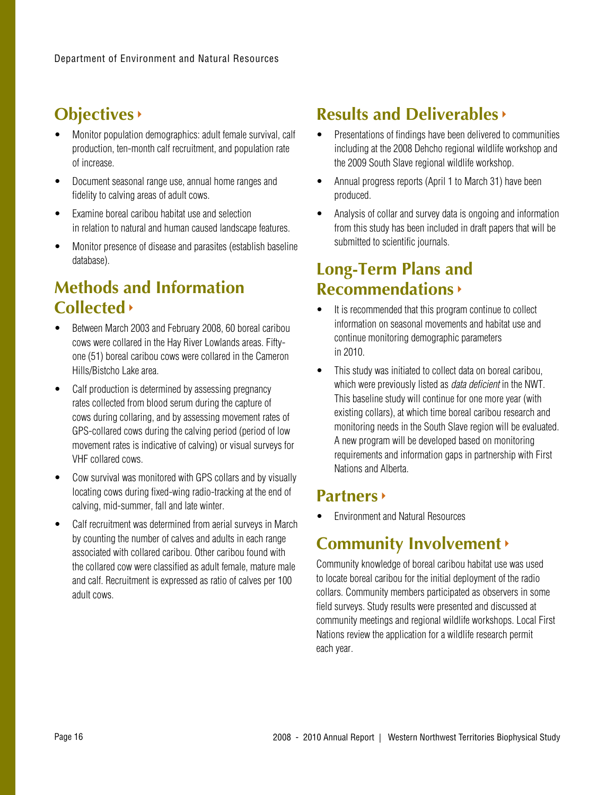### **Objectives**

- Monitor population demographics: adult female survival, calf production, ten-month calf recruitment, and population rate of increase.
- Document seasonal range use, annual home ranges and fidelity to calving areas of adult cows.
- Examine boreal caribou habitat use and selection in relation to natural and human caused landscape features.
- Monitor presence of disease and parasites (establish baseline database).

### **Methods and Information Collected**

- Between March 2003 and February 2008, 60 boreal caribou cows were collared in the Hay River Lowlands areas. Fiftyone (51) boreal caribou cows were collared in the Cameron Hills/Bistcho Lake area.
- Calf production is determined by assessing pregnancy rates collected from blood serum during the capture of cows during collaring, and by assessing movement rates of GPS-collared cows during the calving period (period of low movement rates is indicative of calving) or visual surveys for VHF collared cows.
- Cow survival was monitored with GPS collars and by visually locating cows during fixed-wing radio-tracking at the end of calving, mid-summer, fall and late winter.
- Calf recruitment was determined from aerial surveys in March by counting the number of calves and adults in each range associated with collared caribou. Other caribou found with the collared cow were classified as adult female, mature male and calf. Recruitment is expressed as ratio of calves per 100 adult cows.

### **Results and Deliverables**

- Presentations of findings have been delivered to communities including at the 2008 Dehcho regional wildlife workshop and the 2009 South Slave regional wildlife workshop.
- Annual progress reports (April 1 to March 31) have been produced.
- Analysis of collar and survey data is ongoing and information from this study has been included in draft papers that will be submitted to scientific journals.

### **Long-Term Plans and Recommendations**

- It is recommended that this program continue to collect information on seasonal movements and habitat use and continue monitoring demographic parameters in 2010.
- This study was initiated to collect data on boreal caribou, which were previously listed as *data deficient* in the NWT. This baseline study will continue for one more year (with existing collars), at which time boreal caribou research and monitoring needs in the South Slave region will be evaluated. A new program will be developed based on monitoring requirements and information gaps in partnership with First Nations and Alberta.

### **Partners**

**Fnvironment and Natural Resources** 

### **Community Involvement**

Community knowledge of boreal caribou habitat use was used to locate boreal caribou for the initial deployment of the radio collars. Community members participated as observers in some field surveys. Study results were presented and discussed at community meetings and regional wildlife workshops. Local First Nations review the application for a wildlife research permit each year.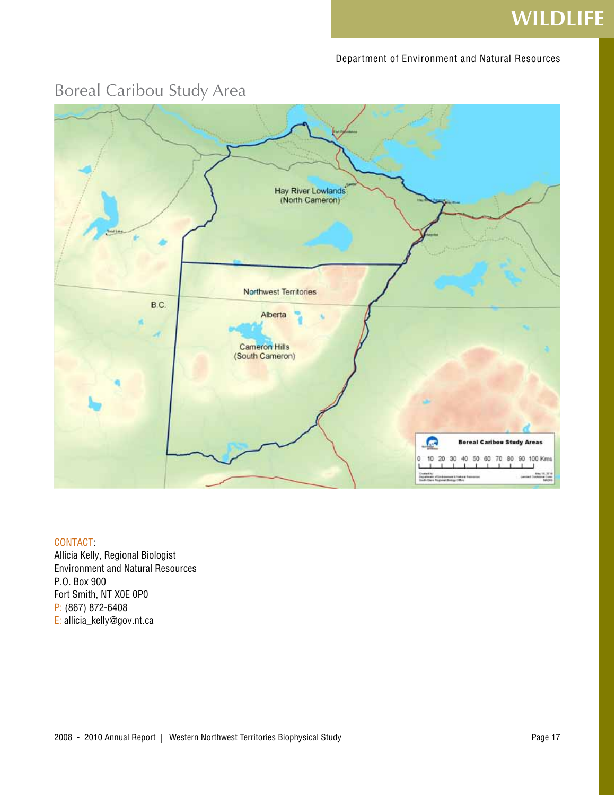## **WILDLIFE**

#### Department of Environment and Natural Resources



### Boreal Caribou Study Area

### CONTACT:

Allicia Kelly, Regional Biologist Environment and Natural Resources P.O. Box 900 Fort Smith, NT X0E 0P0 P: (867) 872-6408 E: allicia\_kelly@gov.nt.ca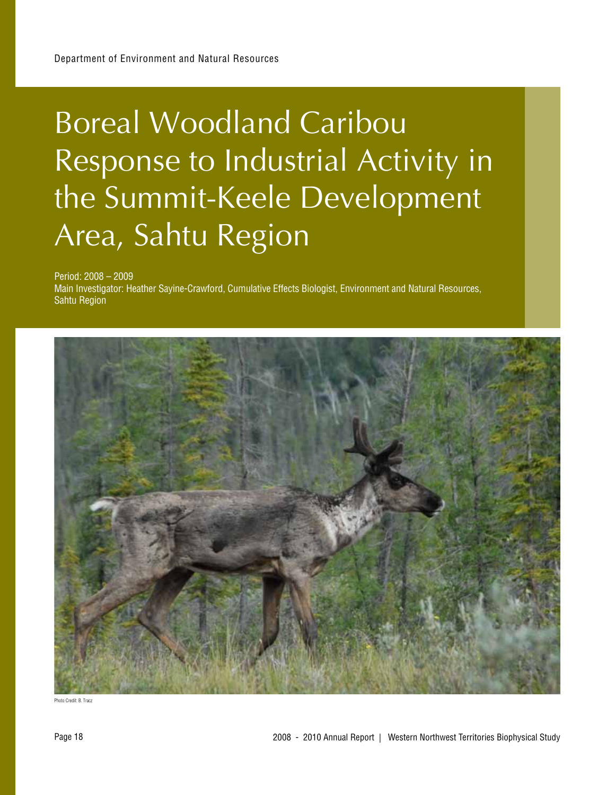## Boreal Woodland Caribou Response to Industrial Activity in the Summit-Keele Development Area, Sahtu Region

Period: 2008 – 2009

Main Investigator: Heather Sayine-Crawford, Cumulative Effects Biologist, Environment and Natural Resources, Sahtu Region



Photo Credit: B. Tracz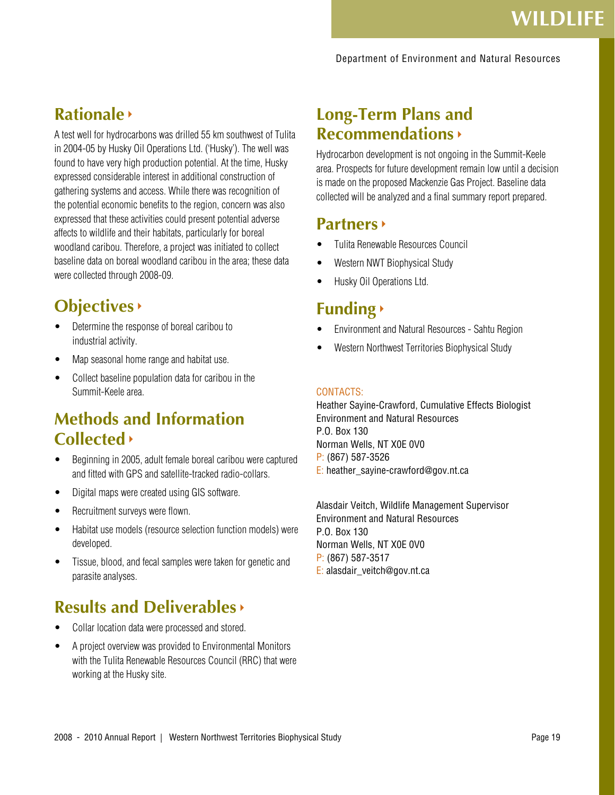#### Department of Environment and Natural Resources

### **Rationale**

A test well for hydrocarbons was drilled 55 km southwest of Tulita in 2004-05 by Husky Oil Operations Ltd. ('Husky'). The well was found to have very high production potential. At the time, Husky expressed considerable interest in additional construction of gathering systems and access. While there was recognition of the potential economic benefits to the region, concern was also expressed that these activities could present potential adverse affects to wildlife and their habitats, particularly for boreal woodland caribou. Therefore, a project was initiated to collect baseline data on boreal woodland caribou in the area; these data were collected through 2008-09.

### **Objectives**

- Determine the response of boreal caribou to industrial activity.
- Map seasonal home range and habitat use.
- Collect baseline population data for caribou in the Summit-Keele area.

### **Methods and Information Collected**

- Beginning in 2005, adult female boreal caribou were captured and fitted with GPS and satellite-tracked radio-collars.
- Digital maps were created using GIS software.
- Recruitment surveys were flown.
- Habitat use models (resource selection function models) were developed.
- Tissue, blood, and fecal samples were taken for genetic and parasite analyses.

### **Results and Deliverables**

- Collar location data were processed and stored.
- A project overview was provided to Environmental Monitors with the Tulita Renewable Resources Council (RRC) that were working at the Husky site.

### **Long-Term Plans and Recommendations**

Hydrocarbon development is not ongoing in the Summit-Keele area. Prospects for future development remain low until a decision is made on the proposed Mackenzie Gas Project. Baseline data collected will be analyzed and a final summary report prepared.

### **Partners**

- **Tulita Renewable Resources Council**
- Western NWT Biophysical Study
- Husky Oil Operations Ltd.

### **Funding**

- **Environment and Natural Resources Sahtu Region**
- Western Northwest Territories Biophysical Study

#### CONTACTS:

Heather Sayine-Crawford, Cumulative Effects Biologist Environment and Natural Resources P.O. Box 130 Norman Wells, NT X0E 0V0 P: (867) 587-3526 E: heather\_sayine-crawford@gov.nt.ca

Alasdair Veitch, Wildlife Management Supervisor Environment and Natural Resources P.O. Box 130 Norman Wells, NT X0E 0V0 P: (867) 587-3517 E: alasdair\_veitch@gov.nt.ca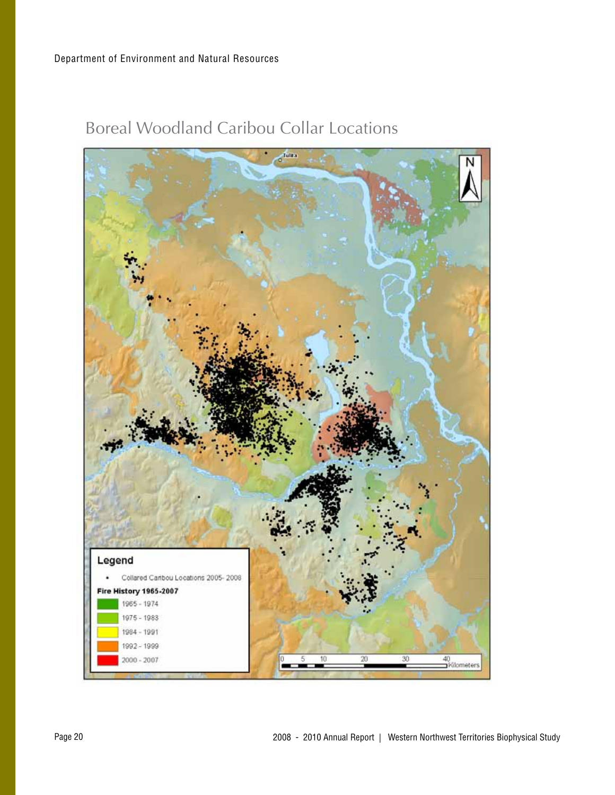

Boreal Woodland Caribou Collar Locations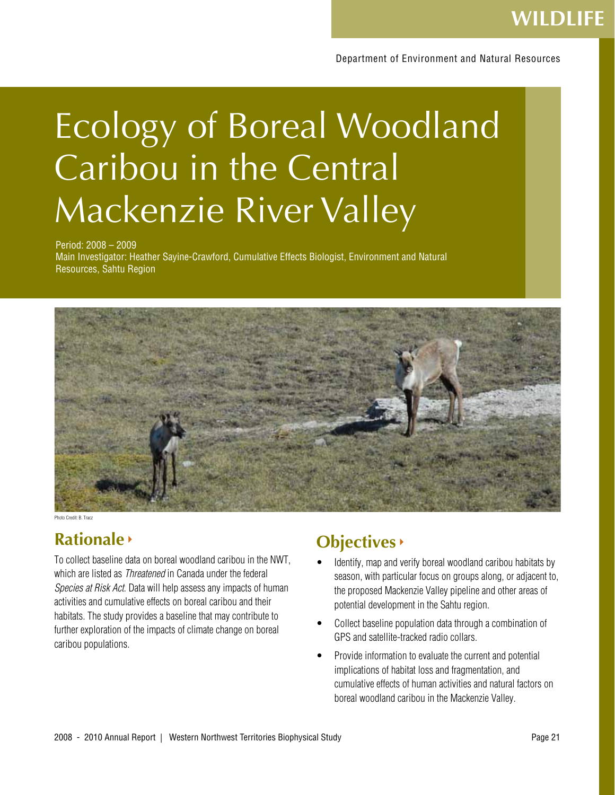## Ecology of Boreal Woodland Caribou in the Central Mackenzie River Valley

#### Period: 2008 – 2009

Main Investigator: Heather Sayine-Crawford, Cumulative Effects Biologist, Environment and Natural Resources, Sahtu Region



Photo Credit: B. Tracz

### **Rationale**

To collect baseline data on boreal woodland caribou in the NWT, which are listed as *Threatened* in Canada under the federal Species at Risk Act. Data will help assess any impacts of human activities and cumulative effects on boreal caribou and their habitats. The study provides a baseline that may contribute to further exploration of the impacts of climate change on boreal caribou populations.

### **Objectives**

- Identify, map and verify boreal woodland caribou habitats by season, with particular focus on groups along, or adjacent to, the proposed Mackenzie Valley pipeline and other areas of potential development in the Sahtu region.
- Collect baseline population data through a combination of GPS and satellite-tracked radio collars.
- Provide information to evaluate the current and potential implications of habitat loss and fragmentation, and cumulative effects of human activities and natural factors on boreal woodland caribou in the Mackenzie Valley.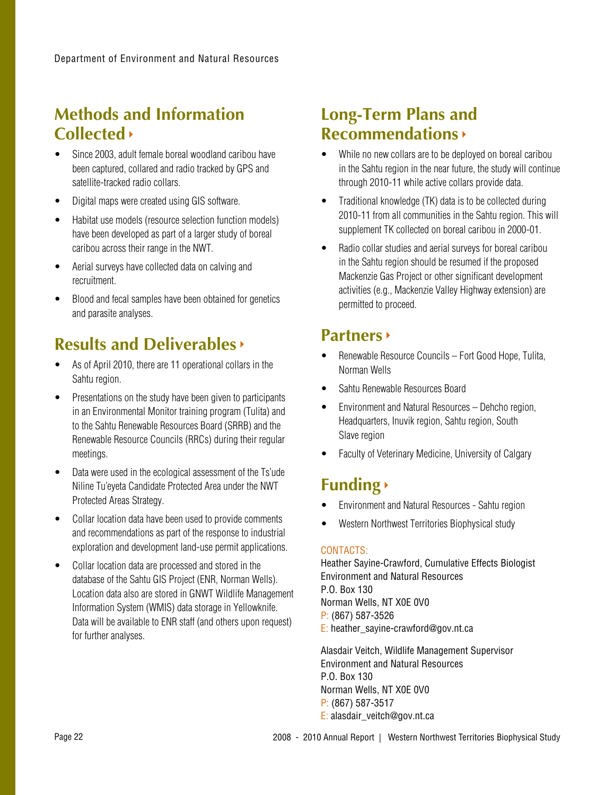### **Methods and Information Collected**

- Since 2003, adult female boreal woodland caribou have been captured, collared and radio tracked by GPS and satellite-tracked radio collars.
- • Digital maps were created using GIS software.
- Habitat use models (resource selection function models) have been developed as part of a larger study of boreal caribou across their range in the NWT.
- Aerial surveys have collected data on calving and recruitment.
- Blood and fecal samples have been obtained for genetics and parasite analyses.

### **Results and Deliverables**

- • As of April 2010, there are 11 operational collars in the Sahtu region.
- Presentations on the study have been given to participants in an Environmental Monitor training program (Tulita) and to the Sahtu Renewable Resources Board (SRRB) and the Renewable Resource Councils (RRCs) during their regular meetings.
- Data were used in the ecological assessment of the Ts'ude Niline Tu'eyeta Candidate Protected Area under the NWT Protected Areas Strategy.
- Collar location data have been used to provide comments and recommendations as part of the response to industrial exploration and development land-use permit applications.
- Collar location data are processed and stored in the database of the Sahtu GIS Project (ENR, Norman Wells). Location data also are stored in GNWT Wildlife Management Information System (WMIS) data storage in Yellowknife. Data will be available to ENR staff (and others upon request) for further analyses.

### **Long-Term Plans and Recommendations**

- While no new collars are to be deployed on boreal caribou in the Sahtu region in the near future, the study will continue through 2010-11 while active collars provide data.
- Traditional knowledge (TK) data is to be collected during 2010-11 from all communities in the Sahtu region. This will supplement TK collected on boreal caribou in 2000-01.
- Radio collar studies and aerial surveys for boreal caribou in the Sahtu region should be resumed if the proposed Mackenzie Gas Project or other significant development activities (e.g., Mackenzie Valley Highway extension) are permitted to proceed.

### **Partners**

- Renewable Resource Councils Fort Good Hope, Tulita, Norman Wells
- Sahtu Renewable Resources Board
- Environment and Natural Resources Dehcho region, Headquarters, Inuvik region, Sahtu region, South Slave region
- **Faculty of Veterinary Medicine, University of Calgary**

## **Funding**

- • Environment and Natural Resources Sahtu region
- • Western Northwest Territories Biophysical study

### CONTACTS:

Heather Sayine-Crawford, Cumulative Effects Biologist Environment and Natural Resources P.O. Box 130 Norman Wells, NT X0E 0V0 P: (867) 587-3526 E: heather\_sayine-crawford@gov.nt.ca

Alasdair Veitch, Wildlife Management Supervisor Environment and Natural Resources P.O. Box 130 Norman Wells, NT X0E 0V0 P: (867) 587-3517 E: alasdair\_veitch@gov.nt.ca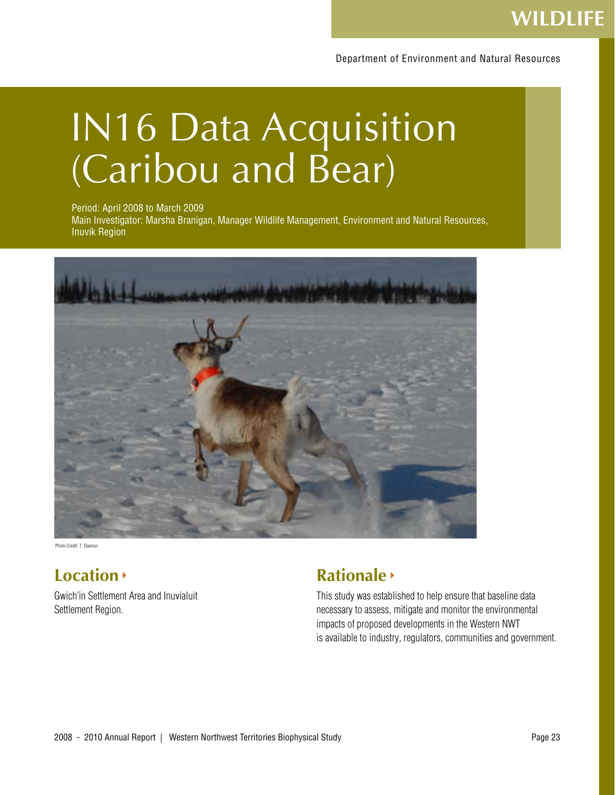## **WILDLIFE**

Department of Environment and Natural Resources

## IN16 Data Acquisition (Caribou and Bear)

Period: April 2008 to March 2009

Main Investigator: Marsha Branigan, Manager Wildlife Management, Environment and Natural Resources, Inuvik Region



Photo Credit: T. Davison

### **Location**

Gwich'in Settlement Area and Inuvialuit Settlement Region.

### **Rationale**

This study was established to help ensure that baseline data necessary to assess, mitigate and monitor the environmental impacts of proposed developments in the Western NWT is available to industry, regulators, communities and government.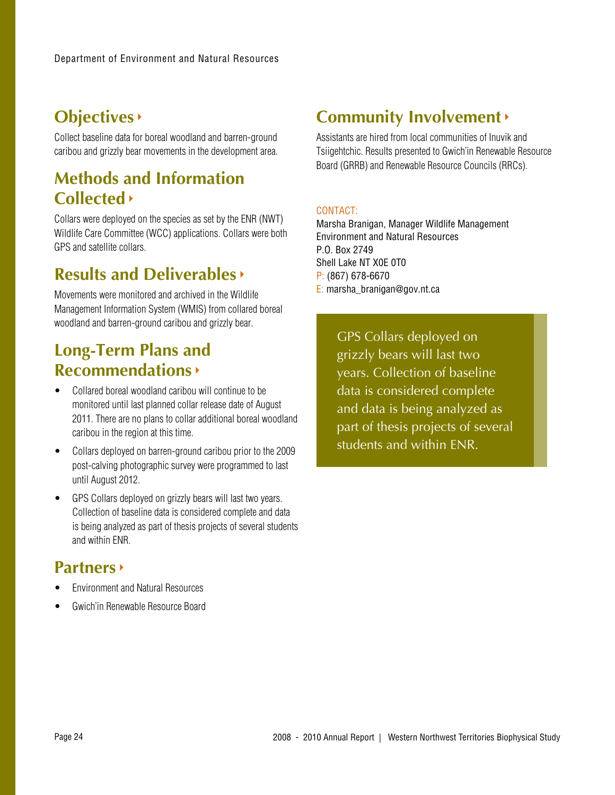## **Objectives**

Collect baseline data for boreal woodland and barren-ground caribou and grizzly bear movements in the development area.

### **Methods and Information Collected**

Collars were deployed on the species as set by the ENR (NWT) Wildlife Care Committee (WCC) applications. Collars were both GPS and satellite collars.

### **Results and Deliverables**

Movements were monitored and archived in the Wildlife Management Information System (WMIS) from collared boreal woodland and barren-ground caribou and grizzly bear.

### **Long-Term Plans and Recommendations**

- Collared boreal woodland caribou will continue to be monitored until last planned collar release date of August 2011. There are no plans to collar additional boreal woodland caribou in the region at this time.
- • Collars deployed on barren-ground caribou prior to the 2009 post-calving photographic survey were programmed to last until August 2012.
- GPS Collars deployed on grizzly bears will last two years. Collection of baseline data is considered complete and data is being analyzed as part of thesis projects of several students and within ENR.

### **Partners**

- **Fnvironment and Natural Resources**
- Gwich'in Renewable Resource Board

### **Community Involvement**

Assistants are hired from local communities of Inuvik and Tsiigehtchic. Results presented to Gwich'in Renewable Resource Board (GRRB) and Renewable Resource Councils (RRCs).

### CONTACT:

Marsha Branigan, Manager Wildlife Management Environment and Natural Resources P.O. Box 2749 Shell Lake NT X0E 0T0 P: (867) 678-6670 E: marsha\_branigan@gov.nt.ca

> GPS Collars deployed on grizzly bears will last two years. Collection of baseline data is considered complete and data is being analyzed as part of thesis projects of several students and within ENR.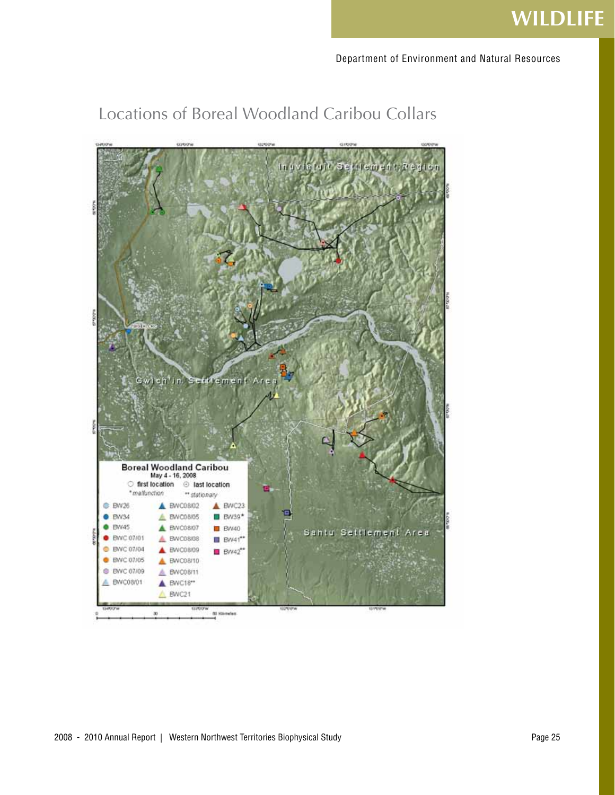## **WILDLIFE**

Department of Environment and Natural Resources

### Locations of Boreal Woodland Caribou Collars

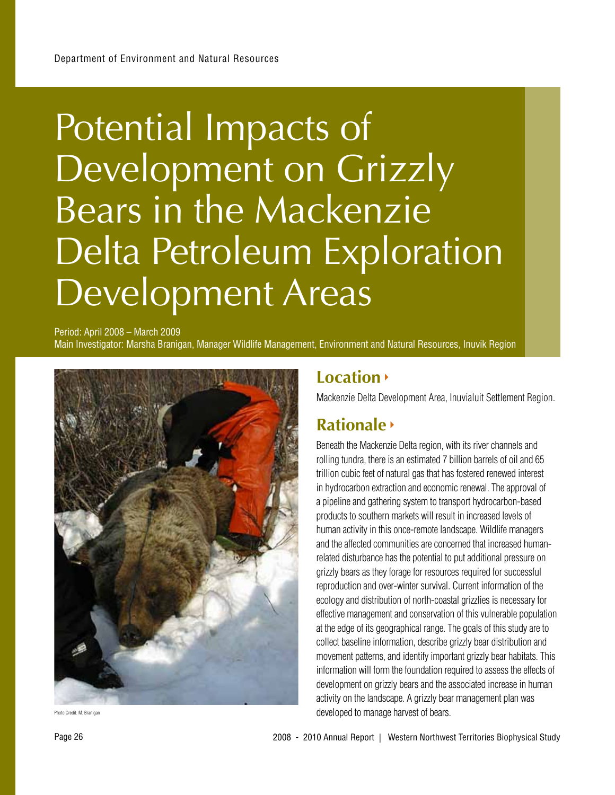## Potential Impacts of Development on Grizzly Bears in the Mackenzie Delta Petroleum Exploration Development Areas

Period: April 2008 – March 2009 Main Investigator: Marsha Branigan, Manager Wildlife Management, Environment and Natural Resources, Inuvik Region



Photo Credit: M. Braniga

### **Location**

Mackenzie Delta Development Area, Inuvialuit Settlement Region.

### **Rationale**

Beneath the Mackenzie Delta region, with its river channels and rolling tundra, there is an estimated 7 billion barrels of oil and 65 trillion cubic feet of natural gas that has fostered renewed interest in hydrocarbon extraction and economic renewal. The approval of a pipeline and gathering system to transport hydrocarbon-based products to southern markets will result in increased levels of human activity in this once-remote landscape. Wildlife managers and the affected communities are concerned that increased humanrelated disturbance has the potential to put additional pressure on grizzly bears as they forage for resources required for successful reproduction and over-winter survival. Current information of the ecology and distribution of north-coastal grizzlies is necessary for effective management and conservation of this vulnerable population at the edge of its geographical range. The goals of this study are to collect baseline information, describe grizzly bear distribution and movement patterns, and identify important grizzly bear habitats. This information will form the foundation required to assess the effects of development on grizzly bears and the associated increase in human activity on the landscape. A grizzly bear management plan was developed to manage harvest of bears.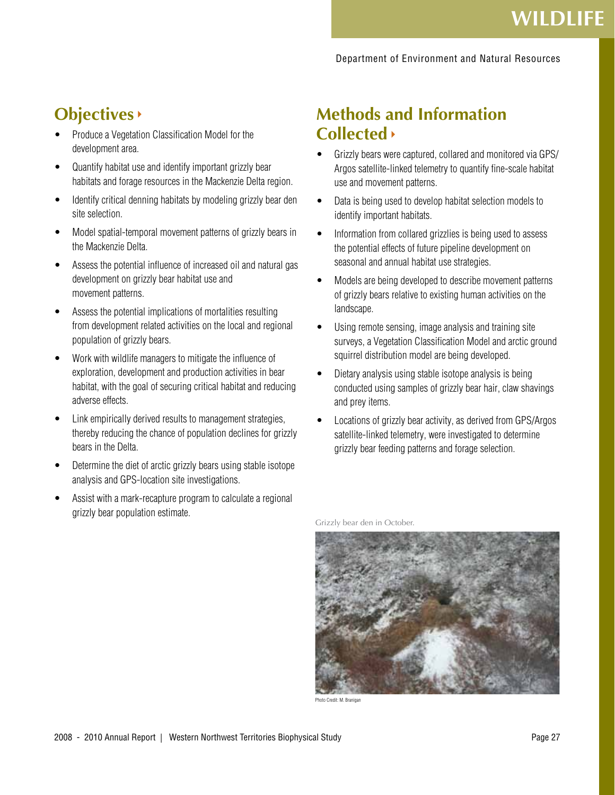### **Objectives**

- Produce a Vegetation Classification Model for the development area.
- Quantify habitat use and identify important grizzly bear habitats and forage resources in the Mackenzie Delta region.
- Identify critical denning habitats by modeling grizzly bear den site selection.
- Model spatial-temporal movement patterns of grizzly bears in the Mackenzie Delta.
- Assess the potential influence of increased oil and natural gas development on grizzly bear habitat use and movement patterns.
- Assess the potential implications of mortalities resulting from development related activities on the local and regional population of grizzly bears.
- Work with wildlife managers to mitigate the influence of exploration, development and production activities in bear habitat, with the goal of securing critical habitat and reducing adverse effects.
- Link empirically derived results to management strategies, thereby reducing the chance of population declines for grizzly bears in the Delta.
- Determine the diet of arctic grizzly bears using stable isotope analysis and GPS-location site investigations.
- Assist with a mark-recapture program to calculate a regional grizzly bear population estimate.

### **Methods and Information Collected**

- Grizzly bears were captured, collared and monitored via GPS/ Argos satellite-linked telemetry to quantify fine-scale habitat use and movement patterns.
- Data is being used to develop habitat selection models to identify important habitats.
- Information from collared grizzlies is being used to assess the potential effects of future pipeline development on seasonal and annual habitat use strategies.
- Models are being developed to describe movement patterns of grizzly bears relative to existing human activities on the landscape.
- Using remote sensing, image analysis and training site surveys, a Vegetation Classification Model and arctic ground squirrel distribution model are being developed.
- Dietary analysis using stable isotope analysis is being conducted using samples of grizzly bear hair, claw shavings and prey items.
- Locations of grizzly bear activity, as derived from GPS/Argos satellite-linked telemetry, were investigated to determine grizzly bear feeding patterns and forage selection.

Grizzly bear den in October.



Photo Credit: M. Branigan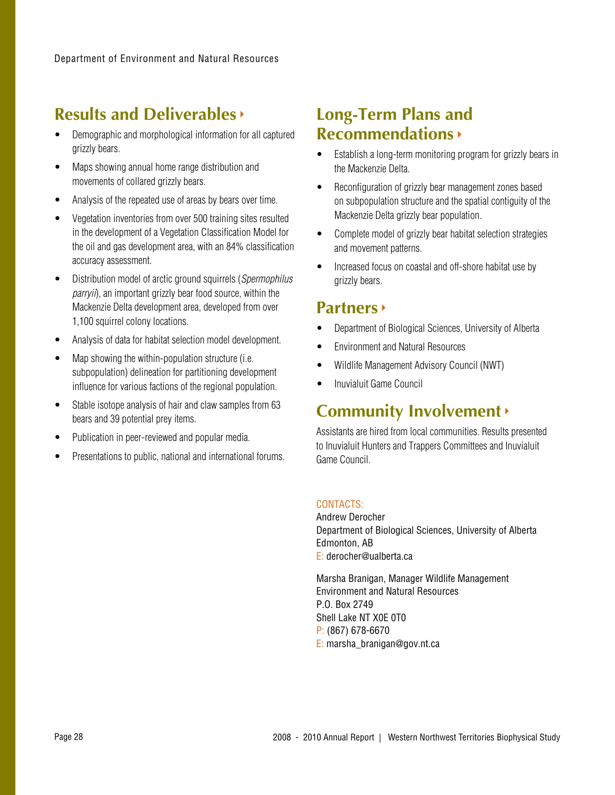### **Results and Deliverables**

- Demographic and morphological information for all captured grizzly bears.
- Maps showing annual home range distribution and movements of collared grizzly bears.
- Analysis of the repeated use of areas by bears over time.
- Vegetation inventories from over 500 training sites resulted in the development of a Vegetation Classification Model for the oil and gas development area, with an 84% classification accuracy assessment.
- Distribution model of arctic ground squirrels (Spermophilus parryii), an important grizzly bear food source, within the Mackenzie Delta development area, developed from over 1,100 squirrel colony locations.
- Analysis of data for habitat selection model development.
- Map showing the within-population structure (i.e. subpopulation) delineation for partitioning development influence for various factions of the regional population.
- Stable isotope analysis of hair and claw samples from 63 bears and 39 potential prey items.
- Publication in peer-reviewed and popular media.
- Presentations to public, national and international forums.

### **Long-Term Plans and Recommendations**

- Establish a long-term monitoring program for grizzly bears in the Mackenzie Delta.
- Reconfiguration of grizzly bear management zones based on subpopulation structure and the spatial contiguity of the Mackenzie Delta grizzly bear population.
- Complete model of grizzly bear habitat selection strategies and movement patterns.
- Increased focus on coastal and off-shore habitat use by grizzly bears.

### **Partners**

- Department of Biological Sciences, University of Alberta
- **Environment and Natural Resources**
- Wildlife Management Advisory Council (NWT)
- Inuvialuit Game Council

### **Community Involvement**

Assistants are hired from local communities. Results presented to Inuvialuit Hunters and Trappers Committees and Inuvialuit Game Council.

#### CONTACTS:

Andrew Derocher Department of Biological Sciences, University of Alberta Edmonton, AB E: derocher@ualberta.ca

Marsha Branigan, Manager Wildlife Management Environment and Natural Resources P.O. Box 2749 Shell Lake NT X0E 0T0 P: (867) 678-6670 E: marsha\_branigan@gov.nt.ca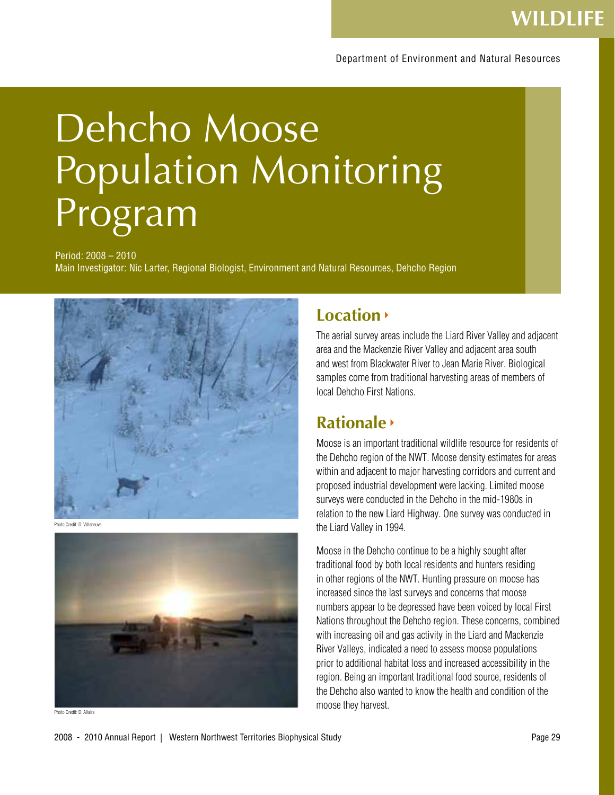# Dehcho Moose Population Monitoring Program

Period: 2008 – 2010

Main Investigator: Nic Larter, Regional Biologist, Environment and Natural Resources, Dehcho Region



Photo Credit: D. Villeneuve



Photo Credit: D. Allaire

### **Location**

The aerial survey areas include the Liard River Valley and adjacent area and the Mackenzie River Valley and adjacent area south and west from Blackwater River to Jean Marie River. Biological samples come from traditional harvesting areas of members of local Dehcho First Nations.

### **Rationale**

Moose is an important traditional wildlife resource for residents of the Dehcho region of the NWT. Moose density estimates for areas within and adjacent to major harvesting corridors and current and proposed industrial development were lacking. Limited moose surveys were conducted in the Dehcho in the mid-1980s in relation to the new Liard Highway. One survey was conducted in the Liard Valley in 1994.

Moose in the Dehcho continue to be a highly sought after traditional food by both local residents and hunters residing in other regions of the NWT. Hunting pressure on moose has increased since the last surveys and concerns that moose numbers appear to be depressed have been voiced by local First Nations throughout the Dehcho region. These concerns, combined with increasing oil and gas activity in the Liard and Mackenzie River Valleys, indicated a need to assess moose populations prior to additional habitat loss and increased accessibility in the region. Being an important traditional food source, residents of the Dehcho also wanted to know the health and condition of the moose they harvest.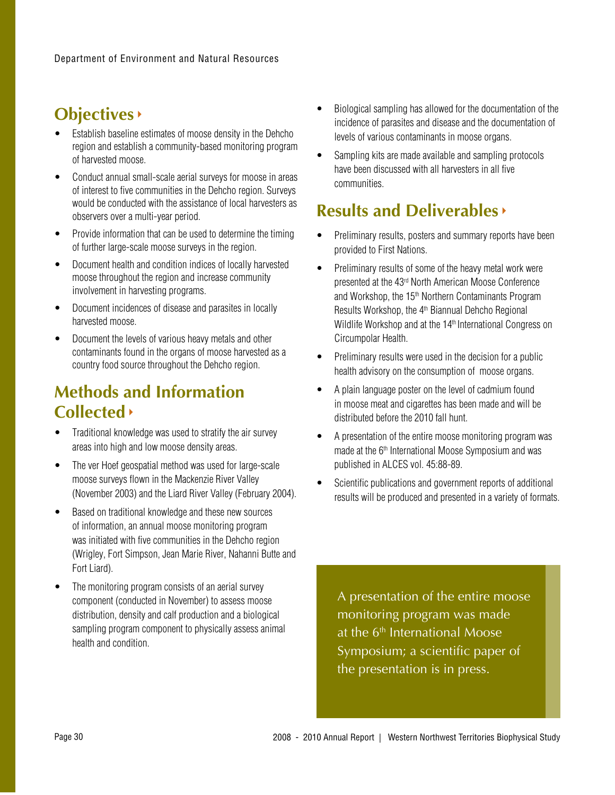### **Objectives**

- Establish baseline estimates of moose density in the Dehcho region and establish a community-based monitoring program of harvested moose.
- Conduct annual small-scale aerial surveys for moose in areas of interest to five communities in the Dehcho region. Surveys would be conducted with the assistance of local harvesters as observers over a multi-year period.
- Provide information that can be used to determine the timing of further large-scale moose surveys in the region.
- Document health and condition indices of locally harvested moose throughout the region and increase community involvement in harvesting programs.
- Document incidences of disease and parasites in locally harvested moose.
- Document the levels of various heavy metals and other contaminants found in the organs of moose harvested as a country food source throughout the Dehcho region.

### **Methods and Information Collected**

- Traditional knowledge was used to stratify the air survey areas into high and low moose density areas.
- The ver Hoef geospatial method was used for large-scale moose surveys flown in the Mackenzie River Valley (November 2003) and the Liard River Valley (February 2004).
- Based on traditional knowledge and these new sources of information, an annual moose monitoring program was initiated with five communities in the Dehcho region (Wrigley, Fort Simpson, Jean Marie River, Nahanni Butte and Fort Liard).
- The monitoring program consists of an aerial survey component (conducted in November) to assess moose distribution, density and calf production and a biological sampling program component to physically assess animal health and condition.
- Biological sampling has allowed for the documentation of the incidence of parasites and disease and the documentation of levels of various contaminants in moose organs.
- Sampling kits are made available and sampling protocols have been discussed with all harvesters in all five communities.

### **Results and Deliverables**

- Preliminary results, posters and summary reports have been provided to First Nations.
- Preliminary results of some of the heavy metal work were presented at the 43rd North American Moose Conference and Workshop, the 15<sup>th</sup> Northern Contaminants Program Results Workshop, the 4<sup>th</sup> Biannual Dehcho Regional Wildlife Workshop and at the 14<sup>th</sup> International Congress on Circumpolar Health.
- Preliminary results were used in the decision for a public health advisory on the consumption of moose organs.
- A plain language poster on the level of cadmium found in moose meat and cigarettes has been made and will be distributed before the 2010 fall hunt.
- A presentation of the entire moose monitoring program was made at the 6<sup>th</sup> International Moose Symposium and was published in ALCES vol. 45:88-89.
- Scientific publications and government reports of additional results will be produced and presented in a variety of formats.

A presentation of the entire moose monitoring program was made at the  $6<sup>th</sup>$  International Moose Symposium; a scientific paper of the presentation is in press.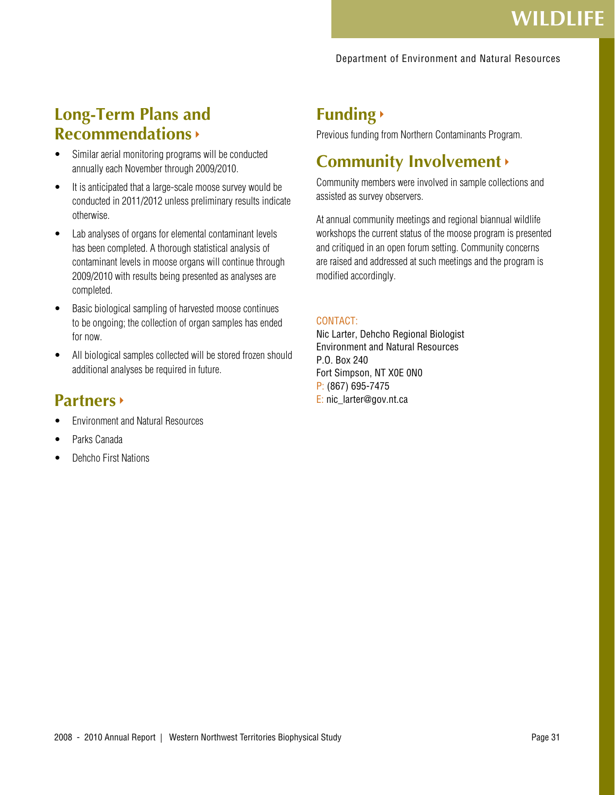#### Department of Environment and Natural Resources

### **Long-Term Plans and Recommendations**

- Similar aerial monitoring programs will be conducted annually each November through 2009/2010.
- It is anticipated that a large-scale moose survey would be conducted in 2011/2012 unless preliminary results indicate otherwise.
- Lab analyses of organs for elemental contaminant levels has been completed. A thorough statistical analysis of contaminant levels in moose organs will continue through 2009/2010 with results being presented as analyses are completed.
- Basic biological sampling of harvested moose continues to be ongoing; the collection of organ samples has ended for now.
- All biological samples collected will be stored frozen should additional analyses be required in future.

### **Partners**

- **Environment and Natural Resources**
- Parks Canada
- **Dehcho First Nations**

### **Funding**

Previous funding from Northern Contaminants Program.

### **Community Involvement**

Community members were involved in sample collections and assisted as survey observers.

At annual community meetings and regional biannual wildlife workshops the current status of the moose program is presented and critiqued in an open forum setting. Community concerns are raised and addressed at such meetings and the program is modified accordingly.

#### CONTACT:

Nic Larter, Dehcho Regional Biologist Environment and Natural Resources P.O. Box 240 Fort Simpson, NT X0E 0N0 P: (867) 695-7475 E: nic\_larter@gov.nt.ca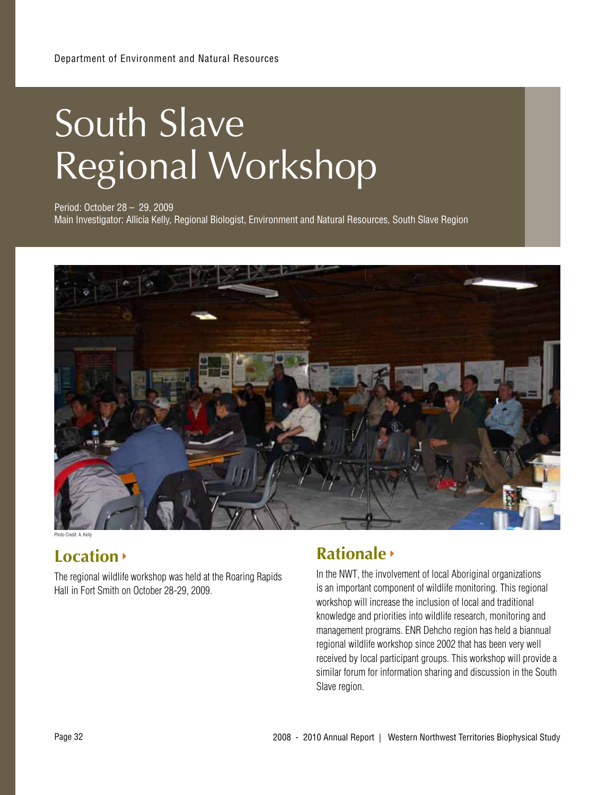# South Slave Regional Workshop

Period: October 28 – 29, 2009 Main Investigator: Allicia Kelly, Regional Biologist, Environment and Natural Resources, South Slave Region



Photo Credit: A. Kelly

### **Location**

The regional wildlife workshop was held at the Roaring Rapids Hall in Fort Smith on October 28-29, 2009.

### **Rationale**

In the NWT, the involvement of local Aboriginal organizations is an important component of wildlife monitoring. This regional workshop will increase the inclusion of local and traditional knowledge and priorities into wildlife research, monitoring and management programs. ENR Dehcho region has held a biannual regional wildlife workshop since 2002 that has been very well received by local participant groups. This workshop will provide a similar forum for information sharing and discussion in the South Slave region.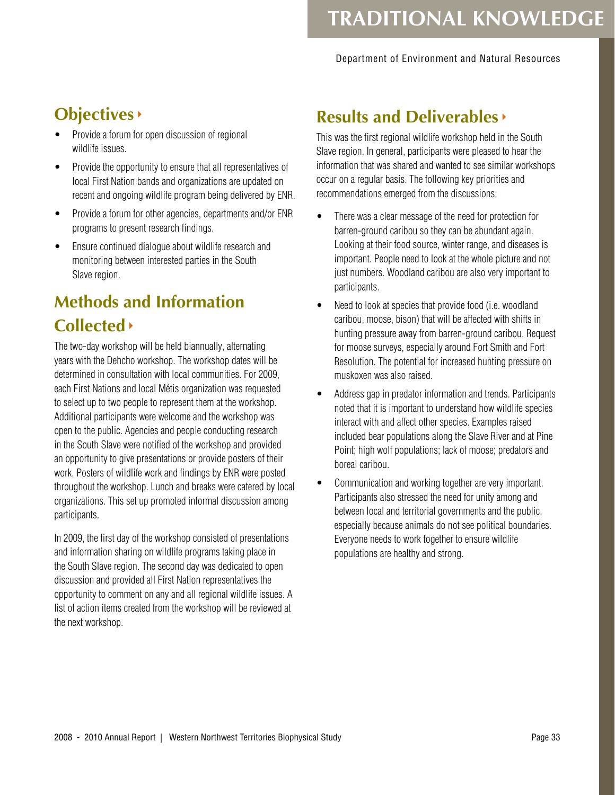#### Department of Environment and Natural Resources

## **Objectives**

- Provide a forum for open discussion of regional wildlife issues.
- Provide the opportunity to ensure that all representatives of local First Nation bands and organizations are updated on recent and ongoing wildlife program being delivered by ENR.
- Provide a forum for other agencies, departments and/or ENR programs to present research findings.
- Ensure continued dialogue about wildlife research and monitoring between interested parties in the South Slave region.

## **Methods and Information Collected**

The two-day workshop will be held biannually, alternating years with the Dehcho workshop. The workshop dates will be determined in consultation with local communities. For 2009, each First Nations and local Métis organization was requested to select up to two people to represent them at the workshop. Additional participants were welcome and the workshop was open to the public. Agencies and people conducting research in the South Slave were notified of the workshop and provided an opportunity to give presentations or provide posters of their work. Posters of wildlife work and findings by ENR were posted throughout the workshop. Lunch and breaks were catered by local organizations. This set up promoted informal discussion among participants.

In 2009, the first day of the workshop consisted of presentations and information sharing on wildlife programs taking place in the South Slave region. The second day was dedicated to open discussion and provided all First Nation representatives the opportunity to comment on any and all regional wildlife issues. A list of action items created from the workshop will be reviewed at the next workshop.

### **Results and Deliverables**

This was the first regional wildlife workshop held in the South Slave region. In general, participants were pleased to hear the information that was shared and wanted to see similar workshops occur on a regular basis. The following key priorities and recommendations emerged from the discussions:

- There was a clear message of the need for protection for barren-ground caribou so they can be abundant again. Looking at their food source, winter range, and diseases is important. People need to look at the whole picture and not just numbers. Woodland caribou are also very important to participants.
- Need to look at species that provide food (i.e. woodland caribou, moose, bison) that will be affected with shifts in hunting pressure away from barren-ground caribou. Request for moose surveys, especially around Fort Smith and Fort Resolution. The potential for increased hunting pressure on muskoxen was also raised.
- • Address gap in predator information and trends. Participants noted that it is important to understand how wildlife species interact with and affect other species. Examples raised included bear populations along the Slave River and at Pine Point; high wolf populations; lack of moose; predators and boreal caribou.
- Communication and working together are very important. Participants also stressed the need for unity among and between local and territorial governments and the public, especially because animals do not see political boundaries. Everyone needs to work together to ensure wildlife populations are healthy and strong.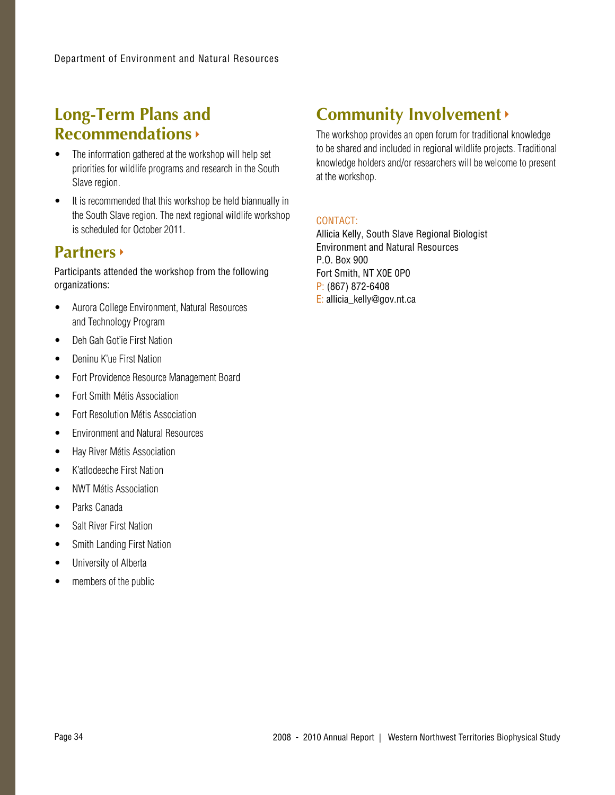### **Long-Term Plans and Recommendations**

- The information gathered at the workshop will help set priorities for wildlife programs and research in the South Slave region.
- It is recommended that this workshop be held biannually in the South Slave region. The next regional wildlife workshop is scheduled for October 2011.

### **Partners**

Participants attended the workshop from the following organizations:

- Aurora College Environment, Natural Resources and Technology Program
- • Deh Gah Got'ie First Nation
- Deninu K'ue First Nation
- Fort Providence Resource Management Board
- Fort Smith Métis Association
- Fort Resolution Métis Association
- Environment and Natural Resources
- • Hay River Métis Association
- • K'atlodeeche First Nation
- **NWT Métis Association**
- • Parks Canada
- Salt River First Nation
- Smith Landing First Nation
- University of Alberta
- members of the public

### **Community Involvement**

The workshop provides an open forum for traditional knowledge to be shared and included in regional wildlife projects. Traditional knowledge holders and/or researchers will be welcome to present at the workshop.

### CONTACT:

Allicia Kelly, South Slave Regional Biologist Environment and Natural Resources P.O. Box 900 Fort Smith, NT X0E 0P0 P: (867) 872-6408 E: allicia\_kelly@gov.nt.ca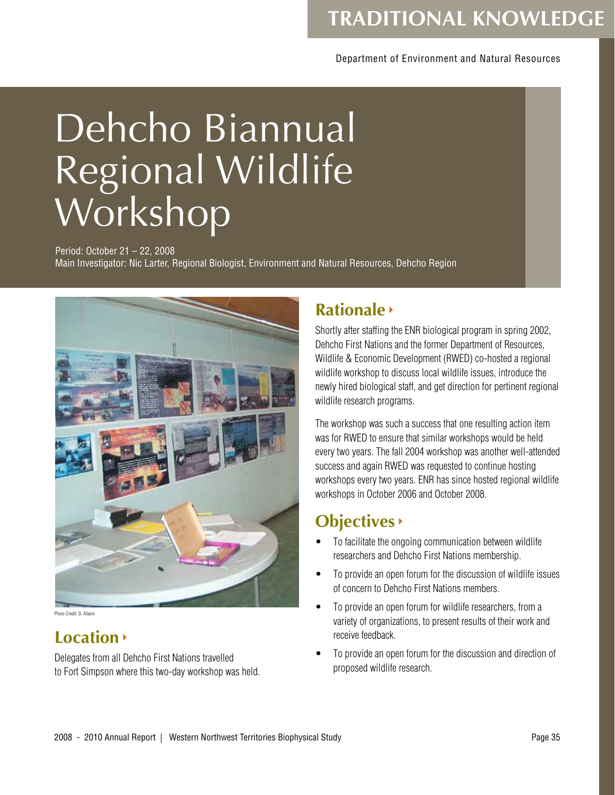### Department of Environment and Natural Resources

# Dehcho Biannual Regional Wildlife Workshop

Period: October 21 – 22, 2008 Main Investigator: Nic Larter, Regional Biologist, Environment and Natural Resources, Dehcho Region



Photo Credit: D. Allaire

### **Location**

Delegates from all Dehcho First Nations travelled to Fort Simpson where this two-day workshop was held.

### **Rationale**

Shortly after staffing the ENR biological program in spring 2002, Dehcho First Nations and the former Department of Resources, Wildlife & Economic Development (RWED) co-hosted a regional wildlife workshop to discuss local wildlife issues, introduce the newly hired biological staff, and get direction for pertinent regional wildlife research programs.

The workshop was such a success that one resulting action item was for RWED to ensure that similar workshops would be held every two years. The fall 2004 workshop was another well-attended success and again RWED was requested to continue hosting workshops every two years. ENR has since hosted regional wildlife workshops in October 2006 and October 2008.

### **Objectives**

- To facilitate the ongoing communication between wildlife researchers and Dehcho First Nations membership.
- To provide an open forum for the discussion of wildlife issues of concern to Dehcho First Nations members.
- To provide an open forum for wildlife researchers, from a variety of organizations, to present results of their work and receive feedback.
- To provide an open forum for the discussion and direction of proposed wildlife research.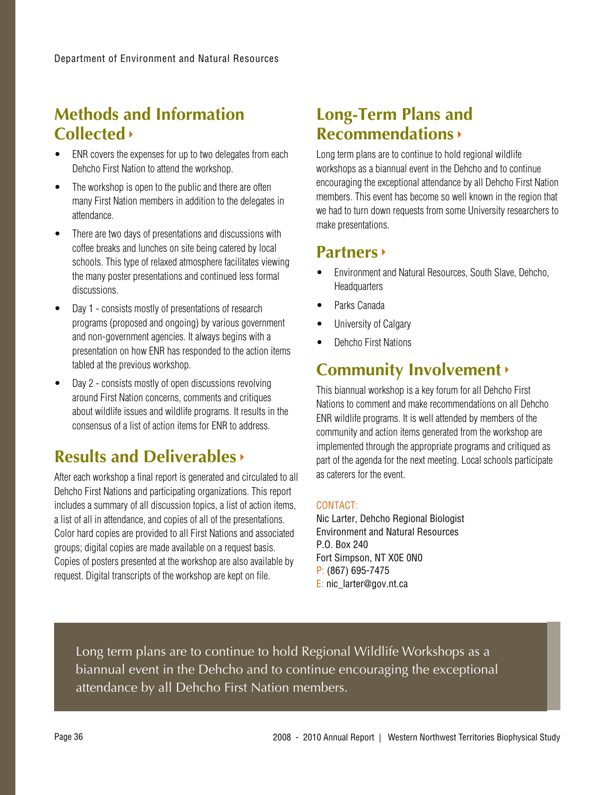### **Methods and Information Collected**

- ENR covers the expenses for up to two delegates from each Dehcho First Nation to attend the workshop.
- The workshop is open to the public and there are often many First Nation members in addition to the delegates in attendance.
- There are two days of presentations and discussions with coffee breaks and lunches on site being catered by local schools. This type of relaxed atmosphere facilitates viewing the many poster presentations and continued less formal discussions.
- Day 1 consists mostly of presentations of research programs (proposed and ongoing) by various government and non-government agencies. It always begins with a presentation on how ENR has responded to the action items tabled at the previous workshop.
- Day 2 consists mostly of open discussions revolving around First Nation concerns, comments and critiques about wildlife issues and wildlife programs. It results in the consensus of a list of action items for ENR to address.

### **Results and Deliverables**

After each workshop a final report is generated and circulated to all Dehcho First Nations and participating organizations. This report includes a summary of all discussion topics, a list of action items, a list of all in attendance, and copies of all of the presentations. Color hard copies are provided to all First Nations and associated groups; digital copies are made available on a request basis. Copies of posters presented at the workshop are also available by request. Digital transcripts of the workshop are kept on file.

### **Long-Term Plans and Recommendations**

Long term plans are to continue to hold regional wildlife workshops as a biannual event in the Dehcho and to continue encouraging the exceptional attendance by all Dehcho First Nation members. This event has become so well known in the region that we had to turn down requests from some University researchers to make presentations.

### **Partners**

- Environment and Natural Resources, South Slave, Dehcho, **Headquarters**
- • Parks Canada
- University of Calgary
- Dehcho First Nations

### **Community Involvement**

This biannual workshop is a key forum for all Dehcho First Nations to comment and make recommendations on all Dehcho ENR wildlife programs. It is well attended by members of the community and action items generated from the workshop are implemented through the appropriate programs and critiqued as part of the agenda for the next meeting. Local schools participate as caterers for the event.

### CONTACT:

Nic Larter, Dehcho Regional Biologist Environment and Natural Resources P.O. Box 240 Fort Simpson, NT X0E 0N0 P: (867) 695-7475 E: nic\_larter@gov.nt.ca

Long term plans are to continue to hold Regional Wildlife Workshops as a biannual event in the Dehcho and to continue encouraging the exceptional attendance by all Dehcho First Nation members.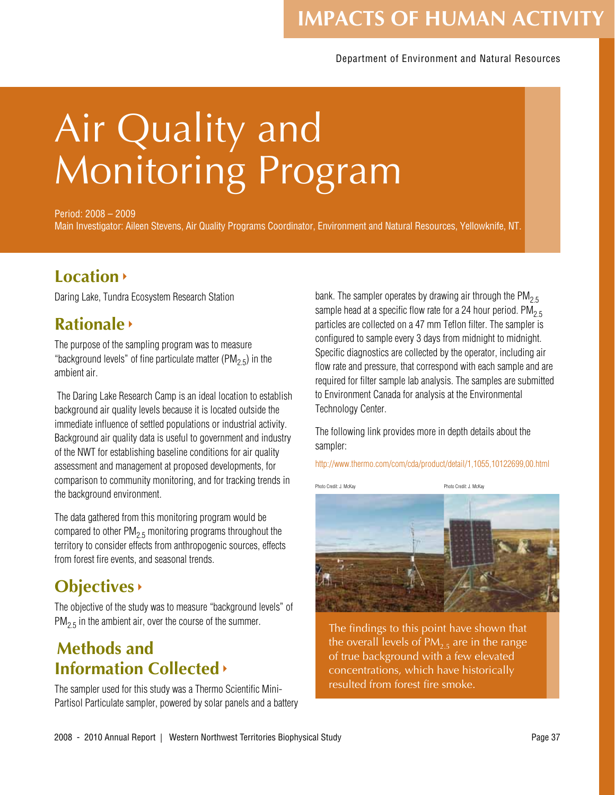## **IMPACTS OF HUMAN ACTIVITY**

#### Department of Environment and Natural Resources

# Air Quality and Monitoring Program

Period: 2008 – 2009 Main Investigator: Aileen Stevens, Air Quality Programs Coordinator, Environment and Natural Resources, Yellowknife, NT.

### **Location**

Daring Lake, Tundra Ecosystem Research Station

### **Rationale**

The purpose of the sampling program was to measure "background levels" of fine particulate matter (PM<sub>2.5</sub>) in the ambient air.

 The Daring Lake Research Camp is an ideal location to establish background air quality levels because it is located outside the immediate influence of settled populations or industrial activity. Background air quality data is useful to government and industry of the NWT for establishing baseline conditions for air quality assessment and management at proposed developments, for comparison to community monitoring, and for tracking trends in the background environment.

The data gathered from this monitoring program would be compared to other  $PM<sub>2.5</sub>$  monitoring programs throughout the territory to consider effects from anthropogenic sources, effects from forest fire events, and seasonal trends.

### **Objectives**

The objective of the study was to measure "background levels" of  $PM<sub>2.5</sub>$  in the ambient air, over the course of the summer.

### **Methods and Information Collected**

The sampler used for this study was a Thermo Scientific Mini-Partisol Particulate sampler, powered by solar panels and a battery

bank. The sampler operates by drawing air through the PM<sub>2.5</sub> sample head at a specific flow rate for a 24 hour period.  $PM_{2.5}$ particles are collected on a 47 mm Teflon filter. The sampler is configured to sample every 3 days from midnight to midnight. Specific diagnostics are collected by the operator, including air flow rate and pressure, that correspond with each sample and are required for filter sample lab analysis. The samples are submitted to Environment Canada for analysis at the Environmental Technology Center.

The following link provides more in depth details about the sampler:

http://www.thermo.com/com/cda/product/detail/1,1055,10122699,00.html



The findings to this point have shown that the overall levels of  $PM<sub>2.5</sub>$  are in the range of true background with a few elevated concentrations, which have historically resulted from forest fire smoke.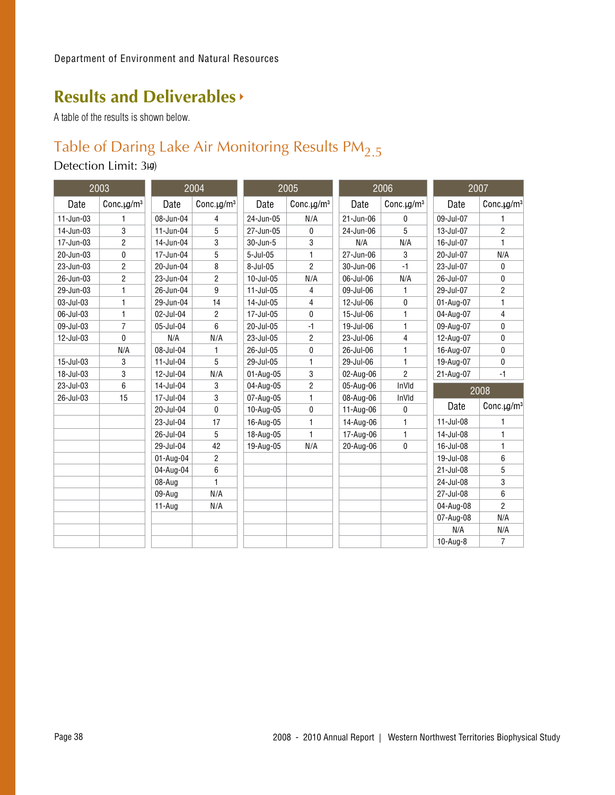### **Results and Deliverables**

A table of the results is shown below.

### Table of Daring Lake Air Monitoring Results  $PM<sub>2.5</sub>$

### Detection Limit: 3kg)

| 2003          |                   | 2004         |                              | 2005             |                | 2006      |                   | 2007      |                        |  |
|---------------|-------------------|--------------|------------------------------|------------------|----------------|-----------|-------------------|-----------|------------------------|--|
| Date          | Conc. $\mu g/m^3$ | Date         | Conc. $\mu$ g/m <sup>3</sup> | Date             | Conc.ug/ $m3$  | Date      | Conc. $\mu g/m^3$ | Date      | Conc.µg/m <sup>3</sup> |  |
| $11 - Jun-03$ | 1                 | 08-Jun-04    | 4                            | 24-Jun-05        | N/A            | 21-Jun-06 | 0                 | 09-Jul-07 | 1                      |  |
| $14$ -Jun-03  | 3                 | $11$ -Jun-04 | 5                            | 27-Jun-05        | 0              | 24-Jun-06 | 5                 | 13-Jul-07 | $\overline{2}$         |  |
| 17-Jun-03     | $\overline{2}$    | 14-Jun-04    | 3                            | 30-Jun-5         | 3              | N/A       | N/A               | 16-Jul-07 | 1                      |  |
| 20-Jun-03     | 0                 | 17-Jun-04    | 5                            | $5 -$ Jul $-05$  | 1              | 27-Jun-06 | 3                 | 20-Jul-07 | N/A                    |  |
| 23-Jun-03     | $\overline{2}$    | 20-Jun-04    | 8                            | 8-Jul-05         | $\overline{2}$ | 30-Jun-06 | $-1$              | 23-Jul-07 | 0                      |  |
| 26-Jun-03     | $\overline{c}$    | 23-Jun-04    | 2                            | 10-Jul-05        | N/A            | 06-Jul-06 | N/A               | 26-Jul-07 | 0                      |  |
| 29-Jun-03     | 1                 | 26-Jun-04    | 9                            | $11 -$ Jul $-05$ | 4              | 09-Jul-06 | 1                 | 29-Jul-07 | $\overline{2}$         |  |
| 03-Jul-03     | 1                 | 29-Jun-04    | 14                           | 14-Jul-05        | 4              | 12-Jul-06 | 0                 | 01-Aug-07 | 1                      |  |
| 06-Jul-03     | 1                 | 02-Jul-04    | $\overline{2}$               | 17-Jul-05        | 0              | 15-Jul-06 | 1                 | 04-Aug-07 | 4                      |  |
| 09-Jul-03     | $\overline{7}$    | 05-Jul-04    | 6                            | 20-Jul-05        | $-1$           | 19-Jul-06 | $\mathbf{1}$      | 09-Aug-07 | $\Omega$               |  |
| 12-Jul-03     | $\mathbf{0}$      | N/A          | N/A                          | 23-Jul-05        | $\overline{2}$ | 23-Jul-06 | 4                 | 12-Aug-07 | 0                      |  |
|               | N/A               | 08-Jul-04    | 1                            | 26-Jul-05        | 0              | 26-Jul-06 | $\mathbf{1}$      | 16-Aug-07 | 0                      |  |
| 15-Jul-03     | 3                 | $11$ -Jul-04 | 5                            | 29-Jul-05        | 1              | 29-Jul-06 | $\mathbf{1}$      | 19-Aug-07 | 0                      |  |
| 18-Jul-03     | 3                 | 12-Jul-04    | N/A                          | 01-Aug-05        | 3              | 02-Aug-06 | $\overline{2}$    | 21-Aug-07 | $-1$                   |  |
| 23-Jul-03     | 6                 | 14-Jul-04    | 3                            | 04-Aug-05        | $\overline{2}$ | 05-Aug-06 | InVId             | 2008      |                        |  |
| 26-Jul-03     | 15                | 17-Jul-04    | 3                            | 07-Aug-05        | 1              | 08-Aug-06 | InVId             |           |                        |  |
|               |                   | 20-Jul-04    | $\mathbf{0}$                 | 10-Aug-05        | 0              | 11-Aug-06 | 0                 | Date      | Conc. $\mu g/m^3$      |  |
|               |                   | 23-Jul-04    | 17                           | 16-Aug-05        | 1              | 14-Aug-06 | 1                 | 11-Jul-08 | 1                      |  |
|               |                   | 26-Jul-04    | 5                            | 18-Aug-05        | 1              | 17-Aug-06 | $\mathbf{1}$      | 14-Jul-08 | 1                      |  |
|               |                   | 29-Jul-04    | 42                           | 19-Aug-05        | N/A            | 20-Aug-06 | $\mathbf 0$       | 16-Jul-08 | $\mathbf{1}$           |  |
|               |                   | 01-Aug-04    | $\overline{2}$               |                  |                |           |                   | 19-Jul-08 | 6                      |  |
|               |                   | 04-Aug-04    | 6                            |                  |                |           |                   | 21-Jul-08 | 5                      |  |
|               |                   | 08-Aug       | 1.                           |                  |                |           |                   | 24-Jul-08 | 3                      |  |
|               |                   | 09-Aug       | N/A                          |                  |                |           |                   | 27-Jul-08 | 6                      |  |
|               |                   | $11$ -Aug    | N/A                          |                  |                |           |                   | 04-Aug-08 | $\overline{2}$         |  |
|               |                   |              |                              |                  |                |           |                   | 07-Aug-08 | N/A                    |  |
|               |                   |              |                              |                  |                |           |                   | N/A       | N/A                    |  |
|               |                   |              |                              |                  |                |           |                   | 10-Aug-8  | $\overline{7}$         |  |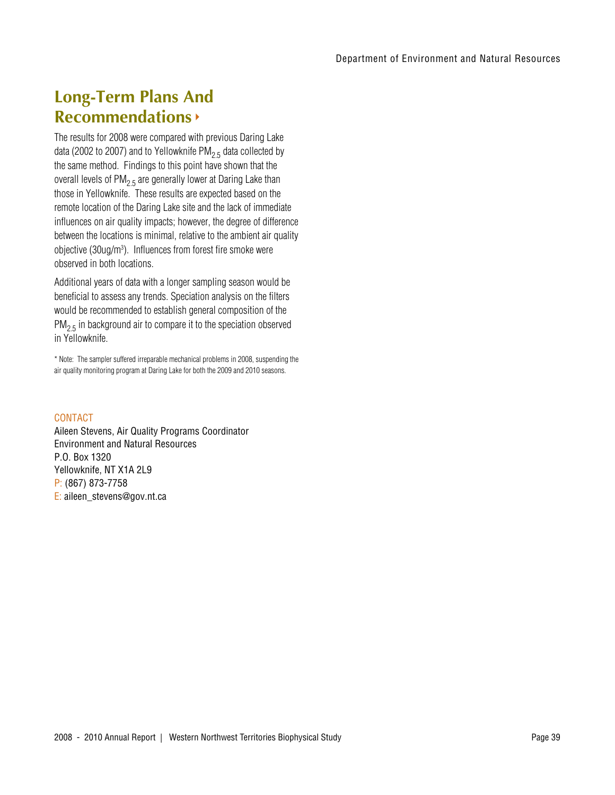### **Long-Term Plans And Recommendations**

The results for 2008 were compared with previous Daring Lake data (2002 to 2007) and to Yellowknife  $PM<sub>2.5</sub>$  data collected by the same method. Findings to this point have shown that the overall levels of  $PM<sub>2.5</sub>$  are generally lower at Daring Lake than those in Yellowknife. These results are expected based on the remote location of the Daring Lake site and the lack of immediate influences on air quality impacts; however, the degree of difference between the locations is minimal, relative to the ambient air quality objective (30ug/m3 ). Influences from forest fire smoke were observed in both locations.

Additional years of data with a longer sampling season would be beneficial to assess any trends. Speciation analysis on the filters would be recommended to establish general composition of the  $PM<sub>2.5</sub>$  in background air to compare it to the speciation observed in Yellowknife.

\* Note: The sampler suffered irreparable mechanical problems in 2008, suspending the air quality monitoring program at Daring Lake for both the 2009 and 2010 seasons.

### **CONTACT**

Aileen Stevens, Air Quality Programs Coordinator Environment and Natural Resources P.O. Box 1320 Yellowknife, NT X1A 2L9 P: (867) 873-7758 E: aileen\_stevens@gov.nt.ca